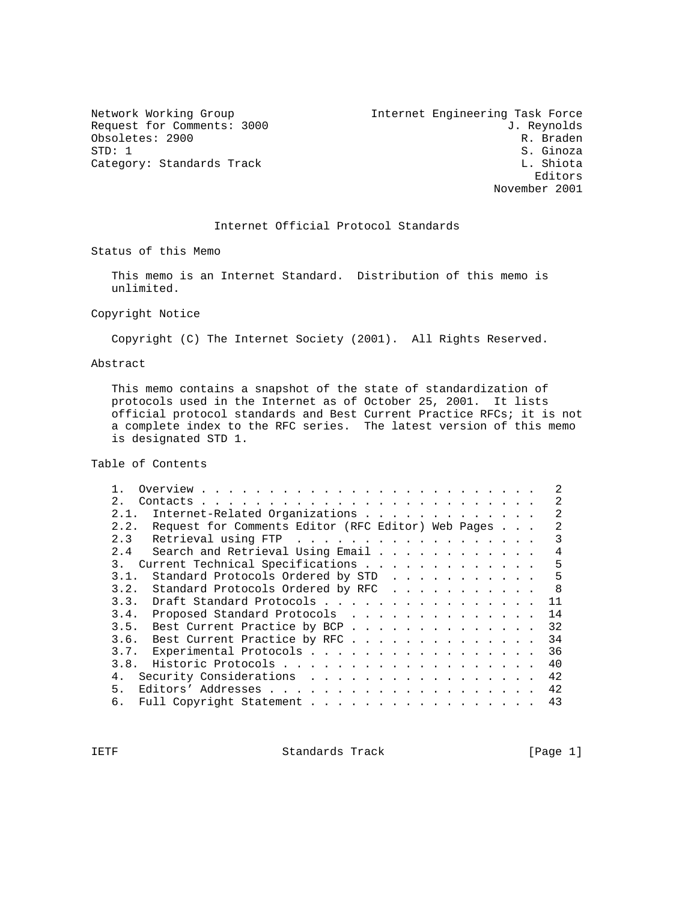Obsoletes: 2900<br>STD: 1 Category: Standards Track

Network Working Group 10 11 and 10 Internet Engineering Task Force Request for Comments: 3000 J. Reynolds<br>
Obsoletes: 2900 R. Braden S. Ginoza<br>L. Shiota Editors November 2001

#### Internet Official Protocol Standards

Status of this Memo

 This memo is an Internet Standard. Distribution of this memo is unlimited.

Copyright Notice

Copyright (C) The Internet Society (2001). All Rights Reserved.

#### Abstract

 This memo contains a snapshot of the state of standardization of protocols used in the Internet as of October 25, 2001. It lists official protocol standards and Best Current Practice RFCs; it is not a complete index to the RFC series. The latest version of this memo is designated STD 1.

Table of Contents

| 2.1                                                        |  |    |  |
|------------------------------------------------------------|--|----|--|
| Internet-Related Organizations<br>2.1.                     |  |    |  |
| Request for Comments Editor (RFC Editor) Web Pages<br>2.2. |  |    |  |
| Retrieval using FTP<br>2.3                                 |  |    |  |
| Search and Retrieval Using Email<br>2.4                    |  | 4  |  |
| Current Technical Specifications<br>3 <sub>1</sub>         |  | 5  |  |
| Standard Protocols Ordered by STD<br>3.1.                  |  | 5  |  |
| Standard Protocols Ordered by RFC<br>3.2.                  |  | 8  |  |
| Draft Standard Protocols<br>3.3.                           |  | 11 |  |
| Proposed Standard Protocols<br>3.4.                        |  | 14 |  |
| Best Current Practice by BCP<br>3.5.                       |  | 32 |  |
| Best Current Practice by RFC<br>3.6.                       |  | 34 |  |
| 3.7. Experimental Protocols                                |  | 36 |  |
| 3.8.                                                       |  | 40 |  |
| Security Considerations<br>4.                              |  | 42 |  |
| 5 <sub>1</sub>                                             |  | 42 |  |
| Full Copyright Statement<br>б.                             |  | 43 |  |
|                                                            |  |    |  |

IETF Standards Track [Page 1]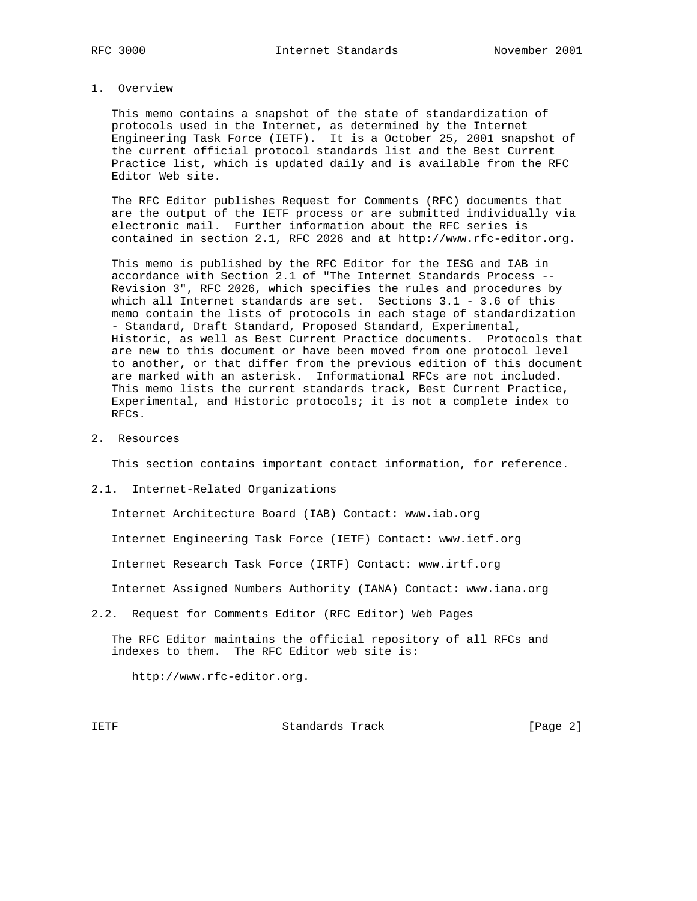#### 1. Overview

 This memo contains a snapshot of the state of standardization of protocols used in the Internet, as determined by the Internet Engineering Task Force (IETF). It is a October 25, 2001 snapshot of the current official protocol standards list and the Best Current Practice list, which is updated daily and is available from the RFC Editor Web site.

 The RFC Editor publishes Request for Comments (RFC) documents that are the output of the IETF process or are submitted individually via electronic mail. Further information about the RFC series is contained in section 2.1, RFC 2026 and at http://www.rfc-editor.org.

 This memo is published by the RFC Editor for the IESG and IAB in accordance with Section 2.1 of "The Internet Standards Process -- Revision 3", RFC 2026, which specifies the rules and procedures by which all Internet standards are set. Sections 3.1 - 3.6 of this memo contain the lists of protocols in each stage of standardization - Standard, Draft Standard, Proposed Standard, Experimental, Historic, as well as Best Current Practice documents. Protocols that are new to this document or have been moved from one protocol level to another, or that differ from the previous edition of this document are marked with an asterisk. Informational RFCs are not included. This memo lists the current standards track, Best Current Practice, Experimental, and Historic protocols; it is not a complete index to RFCs.

2. Resources

This section contains important contact information, for reference.

2.1. Internet-Related Organizations

Internet Architecture Board (IAB) Contact: www.iab.org

Internet Engineering Task Force (IETF) Contact: www.ietf.org

Internet Research Task Force (IRTF) Contact: www.irtf.org

Internet Assigned Numbers Authority (IANA) Contact: www.iana.org

2.2. Request for Comments Editor (RFC Editor) Web Pages

 The RFC Editor maintains the official repository of all RFCs and indexes to them. The RFC Editor web site is:

http://www.rfc-editor.org.

IETF Standards Track (Page 2)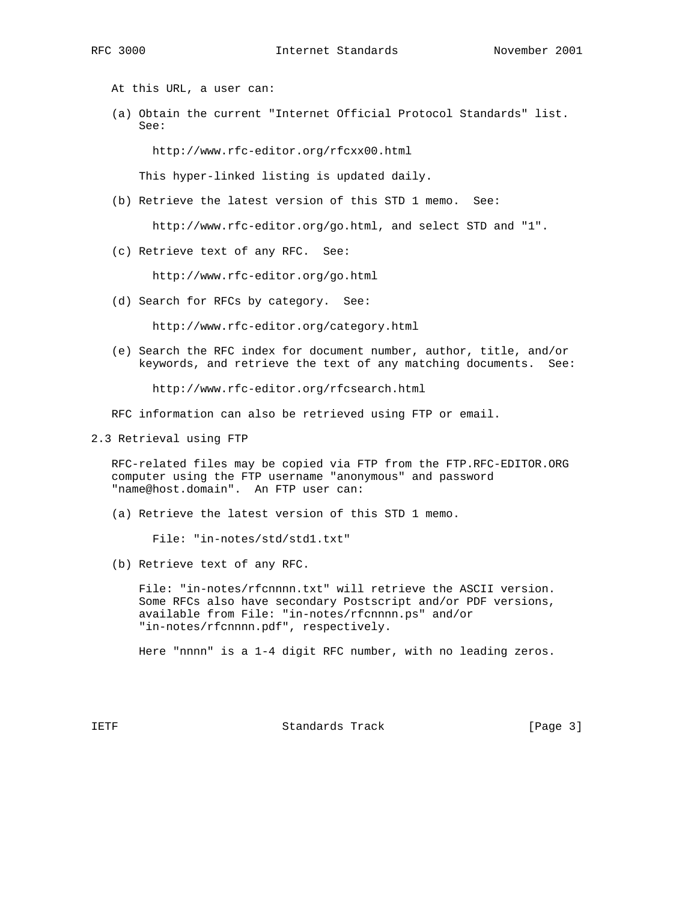At this URL, a user can:

 (a) Obtain the current "Internet Official Protocol Standards" list. See:

http://www.rfc-editor.org/rfcxx00.html

This hyper-linked listing is updated daily.

(b) Retrieve the latest version of this STD 1 memo. See:

http://www.rfc-editor.org/go.html, and select STD and "1".

(c) Retrieve text of any RFC. See:

http://www.rfc-editor.org/go.html

(d) Search for RFCs by category. See:

http://www.rfc-editor.org/category.html

 (e) Search the RFC index for document number, author, title, and/or keywords, and retrieve the text of any matching documents. See:

http://www.rfc-editor.org/rfcsearch.html

RFC information can also be retrieved using FTP or email.

2.3 Retrieval using FTP

 RFC-related files may be copied via FTP from the FTP.RFC-EDITOR.ORG computer using the FTP username "anonymous" and password "name@host.domain". An FTP user can:

(a) Retrieve the latest version of this STD 1 memo.

File: "in-notes/std/std1.txt"

(b) Retrieve text of any RFC.

 File: "in-notes/rfcnnnn.txt" will retrieve the ASCII version. Some RFCs also have secondary Postscript and/or PDF versions, available from File: "in-notes/rfcnnnn.ps" and/or "in-notes/rfcnnnn.pdf", respectively.

Here "nnnn" is a 1-4 digit RFC number, with no leading zeros.

IETF Standards Track [Page 3]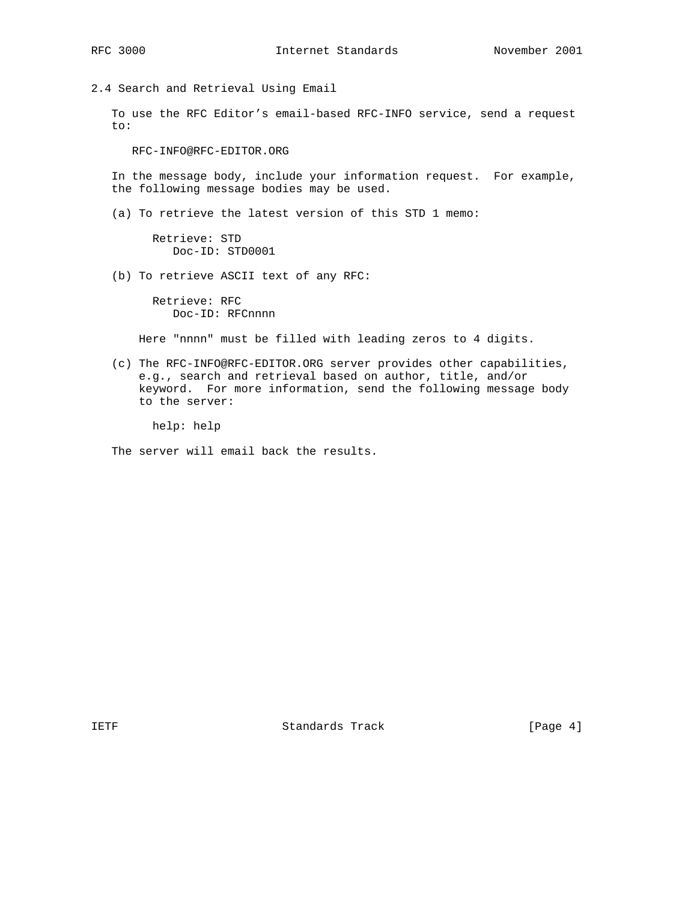2.4 Search and Retrieval Using Email

 To use the RFC Editor's email-based RFC-INFO service, send a request to:

RFC-INFO@RFC-EDITOR.ORG

 In the message body, include your information request. For example, the following message bodies may be used.

(a) To retrieve the latest version of this STD 1 memo:

 Retrieve: STD Doc-ID: STD0001

(b) To retrieve ASCII text of any RFC:

 Retrieve: RFC Doc-ID: RFCnnnn

Here "nnnn" must be filled with leading zeros to 4 digits.

 (c) The RFC-INFO@RFC-EDITOR.ORG server provides other capabilities, e.g., search and retrieval based on author, title, and/or keyword. For more information, send the following message body to the server:

help: help

The server will email back the results.

IETF Standards Track (Page 4)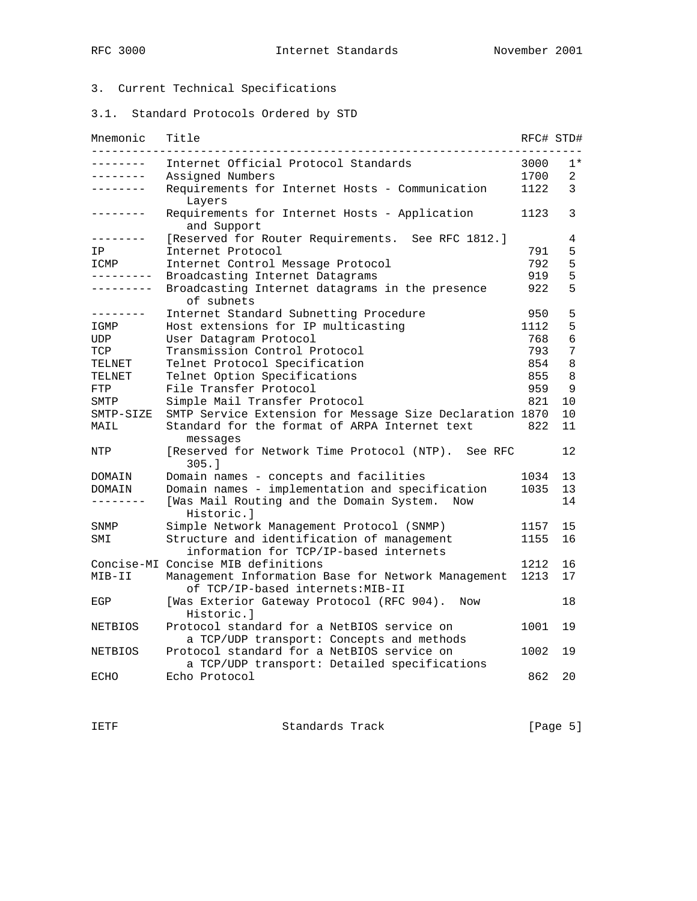# 3. Current Technical Specifications

3.1. Standard Protocols Ordered by STD

| Mnemonic          | Title                                                                                      | RFC# STD# |                |
|-------------------|--------------------------------------------------------------------------------------------|-----------|----------------|
|                   | Internet Official Protocol Standards                                                       | 3000      | $1*$           |
| -------           | Assigned Numbers                                                                           | 1700      | $\overline{2}$ |
| -------           | Requirements for Internet Hosts - Communication<br>Layers                                  | 1122      | 3              |
|                   | Requirements for Internet Hosts - Application<br>and Support                               | 1123      | 3              |
| -------           | [Reserved for Router Requirements. See RFC 1812.]                                          |           | 4              |
| ΙP                | Internet Protocol                                                                          | 791       | 5              |
| ICMP              | Internet Control Message Protocol                                                          | 792       | 5              |
| - - - - - - - - - | Broadcasting Internet Datagrams                                                            | 919       | 5              |
| -------           | Broadcasting Internet datagrams in the presence<br>of subnets                              | 922       | 5              |
| $- - - - - - -$   | Internet Standard Subnetting Procedure                                                     | 950       | 5              |
| IGMP              | Host extensions for IP multicasting                                                        | 1112      | 5              |
| UDP               | User Datagram Protocol                                                                     | 768       | 6              |
| TCP               | Transmission Control Protocol                                                              | 793       | 7              |
| TELNET            | Telnet Protocol Specification                                                              | 854       | 8              |
| TELNET            | Telnet Option Specifications                                                               | 855       | 8              |
| FTP               | File Transfer Protocol                                                                     | 959       | 9              |
| SMTP              | Simple Mail Transfer Protocol                                                              | 821       | 10             |
| SMTP-SIZE         | SMTP Service Extension for Message Size Declaration 1870                                   |           | 10             |
| MAIL              | Standard for the format of ARPA Internet text<br>messages                                  | 822       | 11             |
| NTP               | [Reserved for Network Time Protocol (NTP). See RFC<br>305.1                                |           | 12             |
| DOMAIN            | Domain names - concepts and facilities                                                     | 1034      | 13             |
| DOMAIN            | Domain names - implementation and specification                                            | 1035      | 13             |
| --------          | [Was Mail Routing and the Domain System.<br>Now<br>Historic.l                              |           | 14             |
| SNMP              | Simple Network Management Protocol (SNMP)                                                  | 1157      | 15             |
| SMI               | Structure and identification of management<br>information for TCP/IP-based internets       | 1155      | 16             |
|                   | Concise-MI Concise MIB definitions                                                         | 1212      | 16             |
| MIB-II            | Management Information Base for Network Management<br>of TCP/IP-based internets:MIB-II     | 1213      | 17             |
| EGP               | [Was Exterior Gateway Protocol (RFC 904).<br>Now<br>Historic.l                             |           | 18             |
| <b>NETBIOS</b>    | Protocol standard for a NetBIOS service on<br>a TCP/UDP transport: Concepts and methods    | 1001      | 19             |
| <b>NETBIOS</b>    | Protocol standard for a NetBIOS service on<br>a TCP/UDP transport: Detailed specifications | 1002      | 19             |
| ECHO              | Echo Protocol                                                                              | 862       | 20             |

IETF Standards Track [Page 5]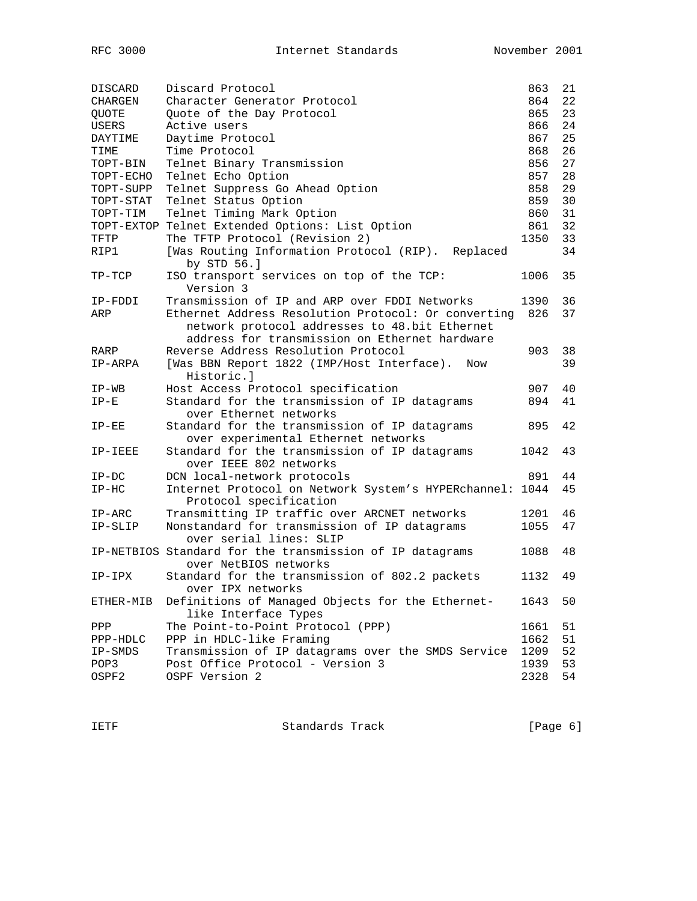| DISCARD   | Discard Protocol                                                         | 863  | 21 |
|-----------|--------------------------------------------------------------------------|------|----|
| CHARGEN   | Character Generator Protocol                                             | 864  | 22 |
| QUOTE     | Quote of the Day Protocol                                                | 865  | 23 |
| USERS     | Active users                                                             | 866  | 24 |
| DAYTIME   | Daytime Protocol                                                         | 867  | 25 |
| TIME      | Time Protocol                                                            | 868  | 26 |
| TOPT-BIN  | Telnet Binary Transmission                                               | 856  | 27 |
| TOPT-ECHO | Telnet Echo Option                                                       | 857  | 28 |
| TOPT-SUPP | Telnet Suppress Go Ahead Option                                          | 858  | 29 |
| TOPT-STAT | Telnet Status Option                                                     | 859  | 30 |
| TOPT-TIM  | Telnet Timing Mark Option                                                | 860  | 31 |
|           | TOPT-EXTOP Telnet Extended Options: List Option                          | 861  | 32 |
| TFTP      | The TFTP Protocol (Revision 2)                                           | 1350 | 33 |
| RIP1      | [Was Routing Information Protocol (RIP). Replaced<br>by STD 56.]         |      | 34 |
| $TP-TCP$  | ISO transport services on top of the TCP:<br>Version 3                   | 1006 | 35 |
| IP-FDDI   | Transmission of IP and ARP over FDDI Networks                            | 1390 | 36 |
| ARP       | Ethernet Address Resolution Protocol: Or converting                      | 826  | 37 |
|           | network protocol addresses to 48.bit Ethernet                            |      |    |
|           | address for transmission on Ethernet hardware                            |      |    |
| RARP      | Reverse Address Resolution Protocol                                      | 903  | 38 |
| IP-ARPA   | [Was BBN Report 1822 (IMP/Host Interface).<br>Now<br>Historic.l          |      | 39 |
| $IP-WB$   | Host Access Protocol specification                                       | 907  | 40 |
| $IP-E$    | Standard for the transmission of IP datagrams                            | 894  | 41 |
|           | over Ethernet networks                                                   |      |    |
| $IP-EE$   | Standard for the transmission of IP datagrams                            | 895  | 42 |
|           | over experimental Ethernet networks                                      |      |    |
| IP-IEEE   | Standard for the transmission of IP datagrams<br>over IEEE 802 networks  | 1042 | 43 |
| $IP-DC$   | DCN local-network protocols                                              | 891  | 44 |
| $IP-HC$   | Internet Protocol on Network System's HYPERchannel: 1044                 |      | 45 |
|           | Protocol specification                                                   |      |    |
| $IP-ARC$  | Transmitting IP traffic over ARCNET networks                             | 1201 | 46 |
| IP-SLIP   | Nonstandard for transmission of IP datagrams                             | 1055 | 47 |
|           | over serial lines: SLIP                                                  |      |    |
|           | IP-NETBIOS Standard for the transmission of IP datagrams                 | 1088 | 48 |
|           | over NetBIOS networks                                                    |      |    |
| IP-IPX    | Standard for the transmission of 802.2 packets                           | 1132 | 49 |
|           | over IPX networks                                                        |      |    |
| ETHER-MIB | Definitions of Managed Objects for the Ethernet-<br>like Interface Types | 1643 | 50 |
| PPP       | The Point-to-Point Protocol (PPP)                                        | 1661 | 51 |
| PPP-HDLC  | PPP in HDLC-like Framing                                                 | 1662 | 51 |
| IP-SMDS   | Transmission of IP datagrams over the SMDS Service                       | 1209 | 52 |
| POP3      | Post Office Protocol - Version 3                                         | 1939 | 53 |
| OSPF2     | OSPF Version 2                                                           | 2328 | 54 |
|           |                                                                          |      |    |

IETF Standards Track [Page 6]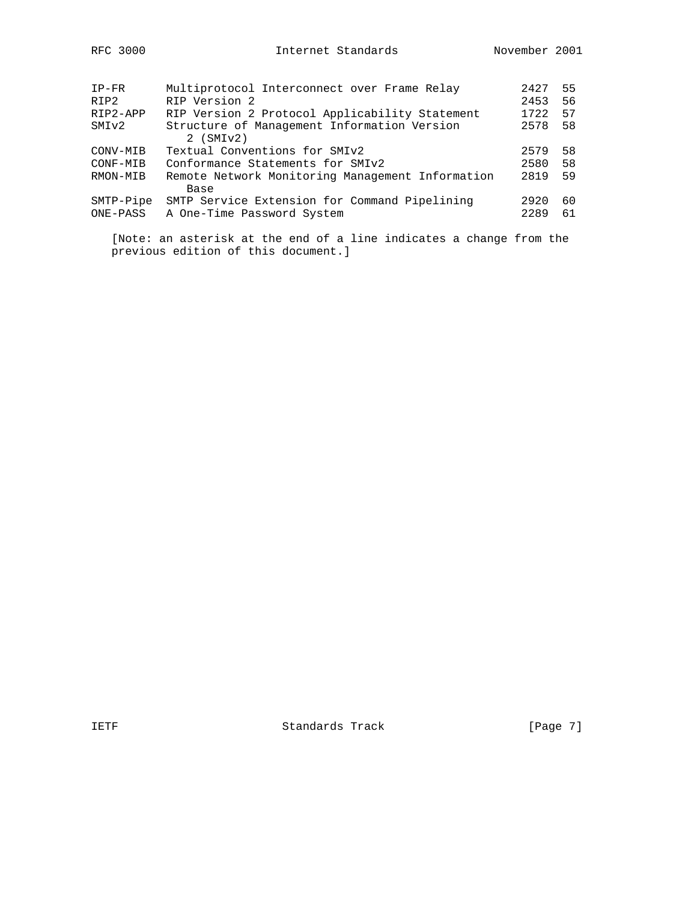| $IP-FR$   | Multiprotocol Interconnect over Frame Relay      | 2427 | 55 |
|-----------|--------------------------------------------------|------|----|
| RIP2      | RIP Version 2                                    | 2453 | 56 |
| RIP2-APP  | RIP Version 2 Protocol Applicability Statement   | 1722 | 57 |
| SMIv2     | Structure of Management Information Version      | 2578 | 58 |
|           | $2$ (SMI $v2$ )                                  |      |    |
| CONV-MIB  | Textual Conventions for SMIv2                    | 2579 | 58 |
| CONF-MIB  | Conformance Statements for SMIv2                 | 2580 | 58 |
| RMON-MIB  | Remote Network Monitoring Management Information | 2819 | 59 |
|           | Base                                             |      |    |
| SMTP-Pipe | SMTP Service Extension for Command Pipelining    | 2920 | 60 |
| ONE-PASS  | A One-Time Password System                       | 2289 | 61 |
|           |                                                  |      |    |

 [Note: an asterisk at the end of a line indicates a change from the previous edition of this document.]

IETF Standards Track [Page 7]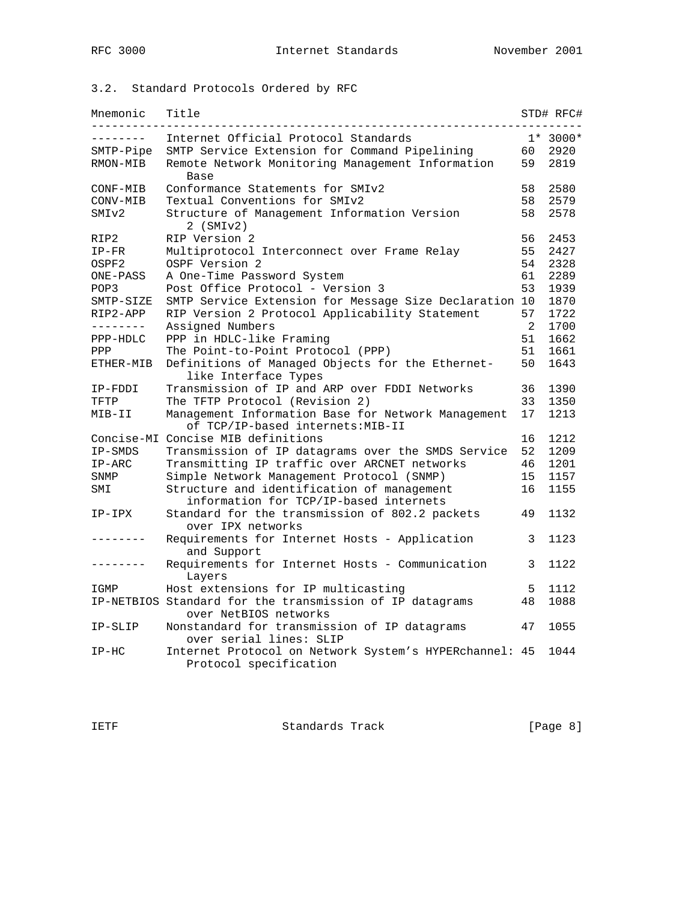# 3.2. Standard Protocols Ordered by RFC

| Mnemonic          | Title                                                                                   |                | STD# RFC# |
|-------------------|-----------------------------------------------------------------------------------------|----------------|-----------|
|                   | Internet Official Protocol Standards                                                    |                | $1*3000*$ |
| SMTP-Pipe         | SMTP Service Extension for Command Pipelining                                           | 60             | 2920      |
| RMON-MIB          | Remote Network Monitoring Management Information<br><b>Base</b>                         | 59             | 2819      |
| CONF-MIB          | Conformance Statements for SMIv2                                                        | 58             | 2580      |
| CONV-MIB          | Textual Conventions for SMIv2                                                           | 58             | 2579      |
| SMI <sub>v2</sub> | Structure of Management Information Version<br>$2$ (SMI $v2$ )                          | 58             | 2578      |
| RIP2              | RIP Version 2                                                                           | 56             | 2453      |
| $IP-FR$           | Multiprotocol Interconnect over Frame Relay                                             | 55             | 2427      |
| OSPF2             | OSPF Version 2                                                                          | 54             | 2328      |
| ONE-PASS          | A One-Time Password System                                                              | 61             | 2289      |
| POP3              | Post Office Protocol - Version 3                                                        | 53             | 1939      |
| SMTP-SIZE         | SMTP Service Extension for Message Size Declaration 10                                  |                | 1870      |
| RIP2-APP          | RIP Version 2 Protocol Applicability Statement                                          | 57             | 1722      |
| --------          | Assigned Numbers                                                                        | $\overline{2}$ | 1700      |
| PPP-HDLC          | PPP in HDLC-like Framing                                                                | 51             | 1662      |
| PPP               | The Point-to-Point Protocol (PPP)                                                       | 51             | 1661      |
| ETHER-MIB         | Definitions of Managed Objects for the Ethernet-<br>like Interface Types                | 50             | 1643      |
| IP-FDDI           | Transmission of IP and ARP over FDDI Networks                                           | 36             | 1390      |
| TFTP              | The TFTP Protocol (Revision 2)                                                          | 33             | 1350      |
| MIB-II            | Management Information Base for Network Management<br>of TCP/IP-based internets: MIB-II | 17             | 1213      |
|                   | Concise-MI Concise MIB definitions                                                      | 16             | 1212      |
| IP-SMDS           | Transmission of IP datagrams over the SMDS Service                                      | 52             | 1209      |
| $IP-ARC$          | Transmitting IP traffic over ARCNET networks                                            | 46             | 1201      |
| SNMP              | Simple Network Management Protocol (SNMP)                                               | 15             | 1157      |
| SMI               | Structure and identification of management                                              | 16             | 1155      |
|                   | information for TCP/IP-based internets                                                  |                |           |
| IP-IPX            | Standard for the transmission of 802.2 packets<br>over IPX networks                     | 49             | 1132      |
|                   | Requirements for Internet Hosts - Application<br>and Support                            | 3              | 1123      |
|                   | Requirements for Internet Hosts - Communication<br>Layers                               | 3              | 1122      |
| IGMP              | Host extensions for IP multicasting                                                     | 5              | 1112      |
|                   | IP-NETBIOS Standard for the transmission of IP datagrams<br>over NetBIOS networks       | 48             | 1088      |
| IP-SLIP           | Nonstandard for transmission of IP datagrams<br>over serial lines: SLIP                 | 47             | 1055      |
| $IP-HC$           | Internet Protocol on Network System's HYPERchannel: 45<br>Protocol specification        |                | 1044      |
|                   |                                                                                         |                |           |

IETF Standards Track [Page 8]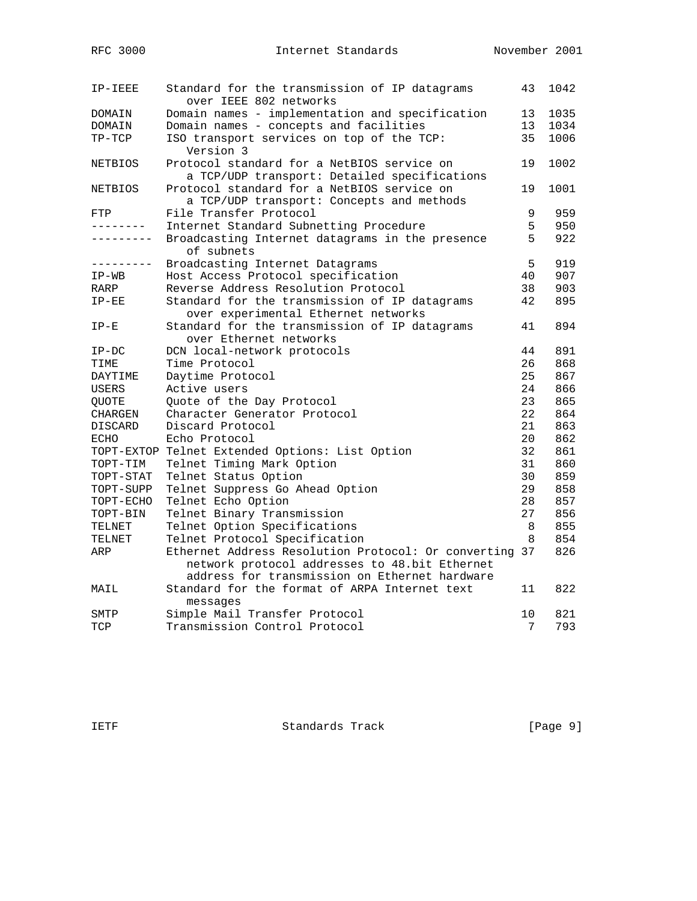| IP-IEEE                | Standard for the transmission of IP datagrams<br>over IEEE 802 networks | 43 | 1042 |
|------------------------|-------------------------------------------------------------------------|----|------|
| DOMAIN                 | Domain names - implementation and specification                         | 13 | 1035 |
| DOMAIN                 | Domain names - concepts and facilities                                  | 13 | 1034 |
| TP-TCP                 | ISO transport services on top of the TCP:                               | 35 | 1006 |
|                        | Version 3                                                               |    |      |
| <b>NETBIOS</b>         | Protocol standard for a NetBIOS service on                              | 19 | 1002 |
|                        | a TCP/UDP transport: Detailed specifications                            |    |      |
| <b>NETBIOS</b>         | Protocol standard for a NetBIOS service on                              | 19 | 1001 |
|                        | a TCP/UDP transport: Concepts and methods                               |    |      |
| FTP                    | File Transfer Protocol                                                  | 9  | 959  |
| .                      | Internet Standard Subnetting Procedure                                  | 5  | 950  |
| . _ _ _ _ _ _ _ _      | Broadcasting Internet datagrams in the presence                         | 5  | 922  |
|                        | of subnets                                                              |    |      |
| . <u>.</u>             | Broadcasting Internet Datagrams                                         | 5  | 919  |
| $IP-WB$                | Host Access Protocol specification                                      | 40 | 907  |
| RARP                   | Reverse Address Resolution Protocol                                     | 38 | 903  |
| $IP-EE$                | Standard for the transmission of IP datagrams                           | 42 | 895  |
|                        | over experimental Ethernet networks                                     |    |      |
| $IP-E$                 | Standard for the transmission of IP datagrams                           | 41 | 894  |
|                        | over Ethernet networks                                                  |    |      |
| $IP-DC$                | DCN local-network protocols                                             | 44 | 891  |
| TIME                   | Time Protocol                                                           | 26 | 868  |
| DAYTIME                | Daytime Protocol                                                        | 25 | 867  |
| USERS                  | Active users                                                            | 24 | 866  |
| QUOTE                  | Quote of the Day Protocol                                               | 23 | 865  |
|                        | Character Generator Protocol                                            | 22 | 864  |
| CHARGEN                | Discard Protocol                                                        | 21 | 863  |
| DISCARD<br><b>ECHO</b> | Echo Protocol                                                           | 20 | 862  |
|                        |                                                                         | 32 | 861  |
| TOPT-EXTOP             | Telnet Extended Options: List Option                                    | 31 | 860  |
| TOPT-TIM               | Telnet Timing Mark Option                                               | 30 | 859  |
| TOPT-STAT              | Telnet Status Option                                                    | 29 |      |
| TOPT-SUPP              | Telnet Suppress Go Ahead Option                                         |    | 858  |
| TOPT-ECHO              | Telnet Echo Option                                                      | 28 | 857  |
| TOPT-BIN               | Telnet Binary Transmission                                              | 27 | 856  |
| TELNET                 | Telnet Option Specifications                                            | 8  | 855  |
| TELNET                 | Telnet Protocol Specification                                           | 8  | 854  |
| ARP                    | Ethernet Address Resolution Protocol: Or converting 37                  |    | 826  |
|                        | network protocol addresses to 48.bit Ethernet                           |    |      |
|                        | address for transmission on Ethernet hardware                           |    |      |
| MAIL                   | Standard for the format of ARPA Internet text                           | 11 | 822  |
|                        | messages                                                                |    |      |
| SMTP                   | Simple Mail Transfer Protocol                                           | 10 | 821  |
| TCP                    | Transmission Control Protocol                                           | 7  | 793  |

IETF Standards Track [Page 9]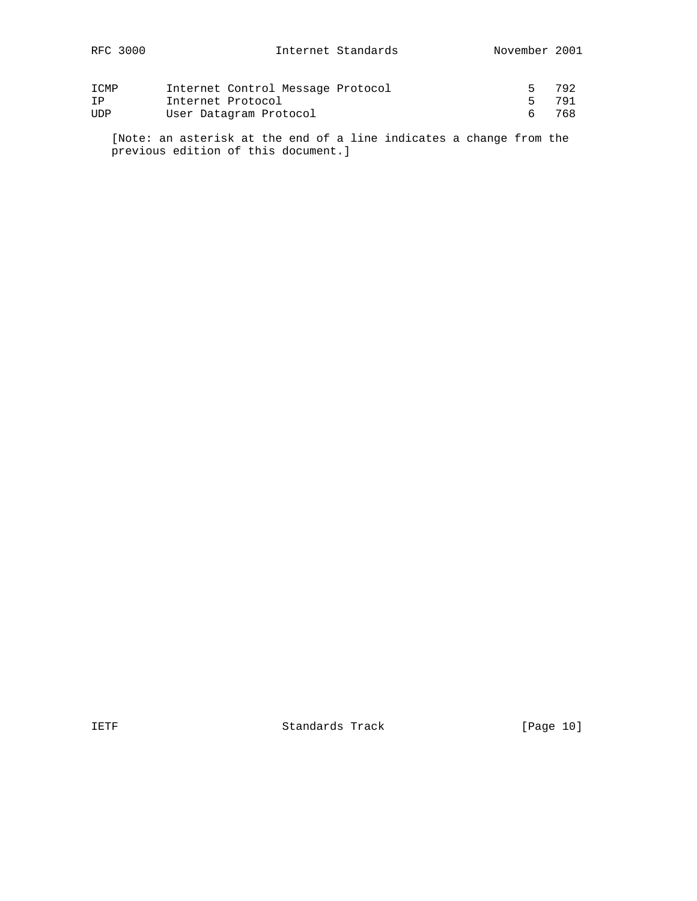| ICMP | Internet Control Message Protocol |       | 792 |
|------|-----------------------------------|-------|-----|
| ΙP   | Internet Protocol                 | 5 791 |     |
| UDP  | User Datagram Protocol            |       | 768 |

 [Note: an asterisk at the end of a line indicates a change from the previous edition of this document.]

IETF Standards Track [Page 10]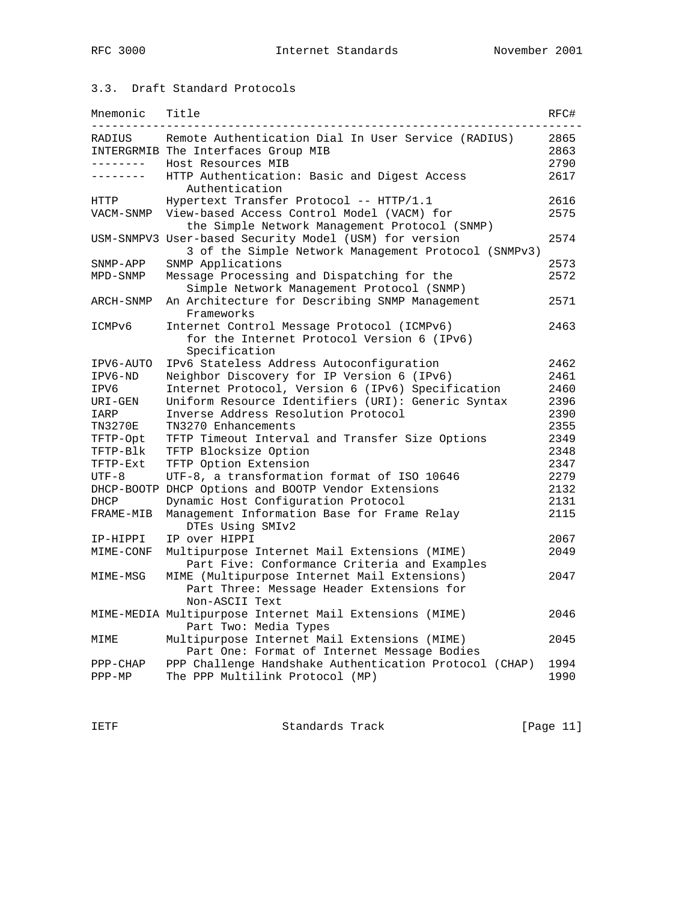### 3.3. Draft Standard Protocols

| Mnemonic       | Title                                                                                                          | RFC# |
|----------------|----------------------------------------------------------------------------------------------------------------|------|
| RADIUS         | Remote Authentication Dial In User Service (RADIUS)                                                            | 2865 |
|                | INTERGRMIB The Interfaces Group MIB                                                                            | 2863 |
| . <u>.</u> .   | Host Resources MIB                                                                                             | 2790 |
| --------       | HTTP Authentication: Basic and Digest Access<br>Authentication                                                 | 2617 |
| HTTP           | Hypertext Transfer Protocol -- HTTP/1.1                                                                        | 2616 |
| VACM-SNMP      | View-based Access Control Model (VACM) for<br>the Simple Network Management Protocol (SNMP)                    | 2575 |
|                | USM-SNMPV3 User-based Security Model (USM) for version<br>3 of the Simple Network Management Protocol (SNMPv3) | 2574 |
| SNMP-APP       | SNMP Applications                                                                                              | 2573 |
| MPD-SNMP       | Message Processing and Dispatching for the                                                                     | 2572 |
|                | Simple Network Management Protocol (SNMP)                                                                      |      |
| ARCH-SNMP      | An Architecture for Describing SNMP Management<br>Frameworks                                                   | 2571 |
| ICMPv6         | Internet Control Message Protocol (ICMPv6)                                                                     | 2463 |
|                | for the Internet Protocol Version 6 (IPv6)<br>Specification                                                    |      |
| IPV6-AUTO      | IPv6 Stateless Address Autoconfiguration                                                                       | 2462 |
| IPV6-ND        | Neighbor Discovery for IP Version 6 (IPv6)                                                                     | 2461 |
| IPV6           | Internet Protocol, Version 6 (IPv6) Specification                                                              | 2460 |
| URI-GEN        | Uniform Resource Identifiers (URI): Generic Syntax                                                             | 2396 |
| IARP           | Inverse Address Resolution Protocol                                                                            | 2390 |
| <b>TN3270E</b> | TN3270 Enhancements                                                                                            | 2355 |
| TFTP-Opt       | TFTP Timeout Interval and Transfer Size Options                                                                | 2349 |
| TFTP-Blk       | TFTP Blocksize Option                                                                                          | 2348 |
| TFTP-Ext       | TFTP Option Extension                                                                                          | 2347 |
| $UTF-8$        | UTF-8, a transformation format of ISO 10646                                                                    | 2279 |
|                | DHCP-BOOTP DHCP Options and BOOTP Vendor Extensions                                                            | 2132 |
| DHCP           | Dynamic Host Configuration Protocol                                                                            | 2131 |
| FRAME-MIB      | Management Information Base for Frame Relay<br>DTEs Using SMIv2                                                | 2115 |
| IP-HIPPI       | IP over HIPPI                                                                                                  | 2067 |
| MIME-CONF      | Multipurpose Internet Mail Extensions (MIME)<br>Part Five: Conformance Criteria and Examples                   | 2049 |
| MIME-MSG       | MIME (Multipurpose Internet Mail Extensions)<br>Part Three: Message Header Extensions for<br>Non-ASCII Text    | 2047 |
|                | MIME-MEDIA Multipurpose Internet Mail Extensions (MIME)<br>Part Two: Media Types                               | 2046 |
| MIME           | Multipurpose Internet Mail Extensions (MIME)<br>Part One: Format of Internet Message Bodies                    | 2045 |
| $PPP-CHAP$     | PPP Challenge Handshake Authentication Protocol (CHAP)                                                         | 1994 |
| $PPP-MP$       | The PPP Multilink Protocol (MP)                                                                                | 1990 |

IETF Standards Track [Page 11]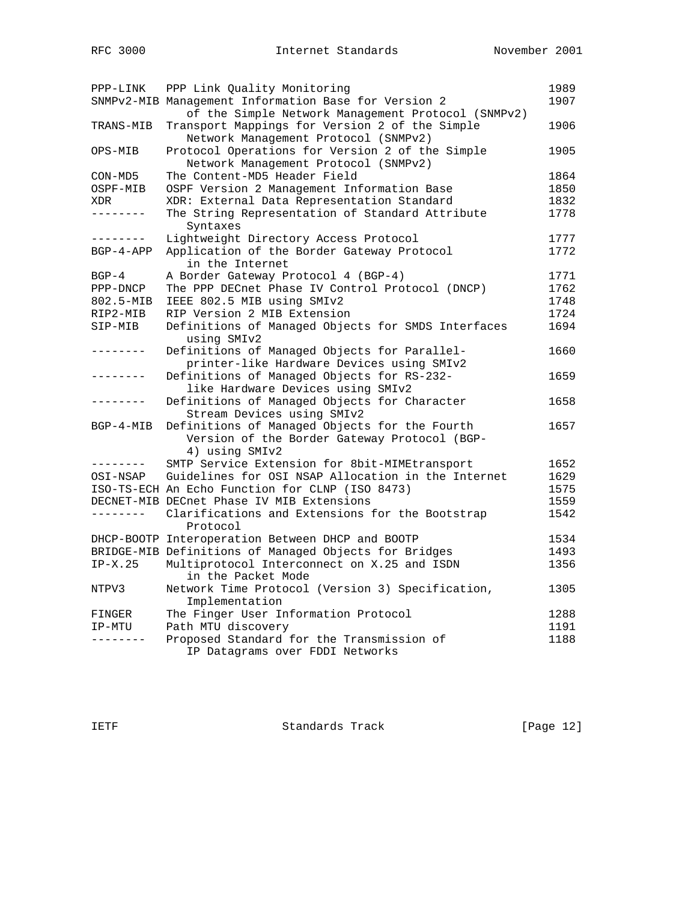| PPP-LINK     | PPP Link Quality Monitoring                           | 1989 |
|--------------|-------------------------------------------------------|------|
|              | SNMPv2-MIB Management Information Base for Version 2  | 1907 |
|              | of the Simple Network Management Protocol (SNMPv2)    |      |
| TRANS-MIB    | Transport Mappings for Version 2 of the Simple        | 1906 |
|              | Network Management Protocol (SNMPv2)                  |      |
| OPS-MIB      | Protocol Operations for Version 2 of the Simple       | 1905 |
|              | Network Management Protocol (SNMPv2)                  |      |
| CON-MD5      | The Content-MD5 Header Field                          | 1864 |
| OSPF-MIB     | OSPF Version 2 Management Information Base            | 1850 |
| XDR          | XDR: External Data Representation Standard            | 1832 |
| --------     | The String Representation of Standard Attribute       | 1778 |
|              | Syntaxes                                              |      |
| . <u>.</u> . | Lightweight Directory Access Protocol                 | 1777 |
| $BGP-4-APP$  | Application of the Border Gateway Protocol            | 1772 |
|              | in the Internet                                       |      |
| $BGP-4$      | A Border Gateway Protocol 4 (BGP-4)                   | 1771 |
| PPP-DNCP     | The PPP DECnet Phase IV Control Protocol (DNCP)       | 1762 |
| 802.5-MIB    | IEEE 802.5 MIB using SMIv2                            | 1748 |
| RIP2-MIB     | RIP Version 2 MIB Extension                           | 1724 |
| SIP-MIB      | Definitions of Managed Objects for SMDS Interfaces    | 1694 |
|              | using SMIv2                                           |      |
| -------      | Definitions of Managed Objects for Parallel-          | 1660 |
|              | printer-like Hardware Devices using SMIv2             |      |
|              | Definitions of Managed Objects for RS-232-            | 1659 |
|              | like Hardware Devices using SMIv2                     |      |
|              | Definitions of Managed Objects for Character          | 1658 |
|              | Stream Devices using SMIv2                            |      |
| $BGP-4-MIB$  | Definitions of Managed Objects for the Fourth         | 1657 |
|              | Version of the Border Gateway Protocol (BGP-          |      |
|              | 4) using SMIv2                                        |      |
| --------     | SMTP Service Extension for 8bit-MIMEtransport         | 1652 |
| OSI-NSAP     | Guidelines for OSI NSAP Allocation in the Internet    | 1629 |
|              | ISO-TS-ECH An Echo Function for CLNP (ISO 8473)       | 1575 |
|              | DECNET-MIB DECnet Phase IV MIB Extensions             | 1559 |
| --------     |                                                       | 1542 |
|              | Clarifications and Extensions for the Bootstrap       |      |
|              | Protocol                                              |      |
|              | DHCP-BOOTP Interoperation Between DHCP and BOOTP      | 1534 |
|              | BRIDGE-MIB Definitions of Managed Objects for Bridges | 1493 |
| $IP-X.25$    | Multiprotocol Interconnect on X.25 and ISDN           | 1356 |
|              | in the Packet Mode                                    |      |
| NTPV3        | Network Time Protocol (Version 3) Specification,      | 1305 |
|              | Implementation                                        |      |
| FINGER       | The Finger User Information Protocol                  | 1288 |
| IP-MTU       | Path MTU discovery                                    | 1191 |
| --------     | Proposed Standard for the Transmission of             | 1188 |
|              | IP Datagrams over FDDI Networks                       |      |

IETF Standards Track [Page 12]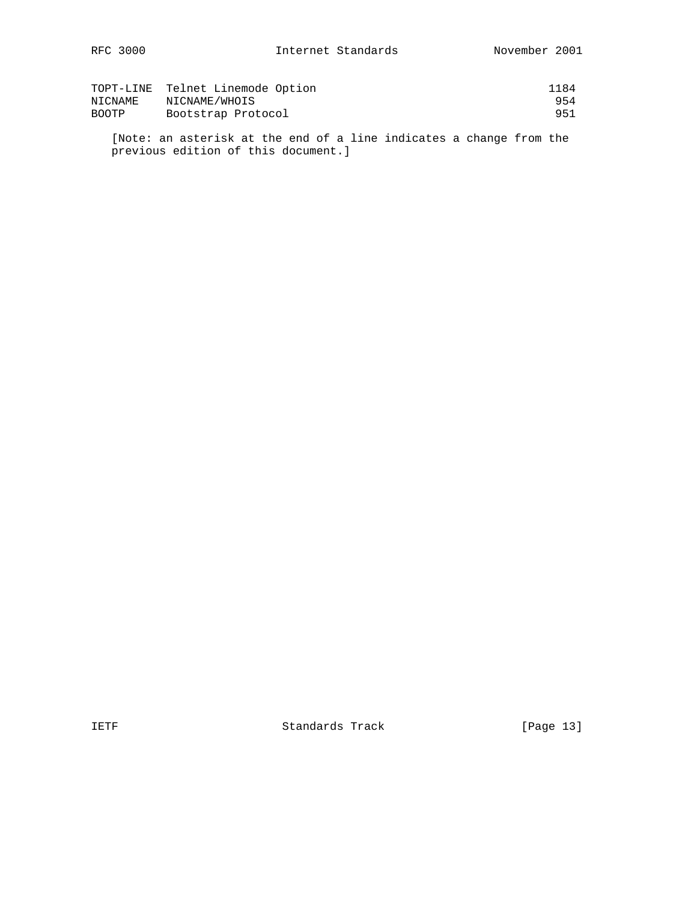|         | TOPT-LINE Telnet Linemode Option | 1184 |
|---------|----------------------------------|------|
| NICNAME | NICNAME/WHOIS                    | 954  |
| BOOTP   | Bootstrap Protocol               | 951  |

 [Note: an asterisk at the end of a line indicates a change from the previous edition of this document.]

IETF Standards Track [Page 13]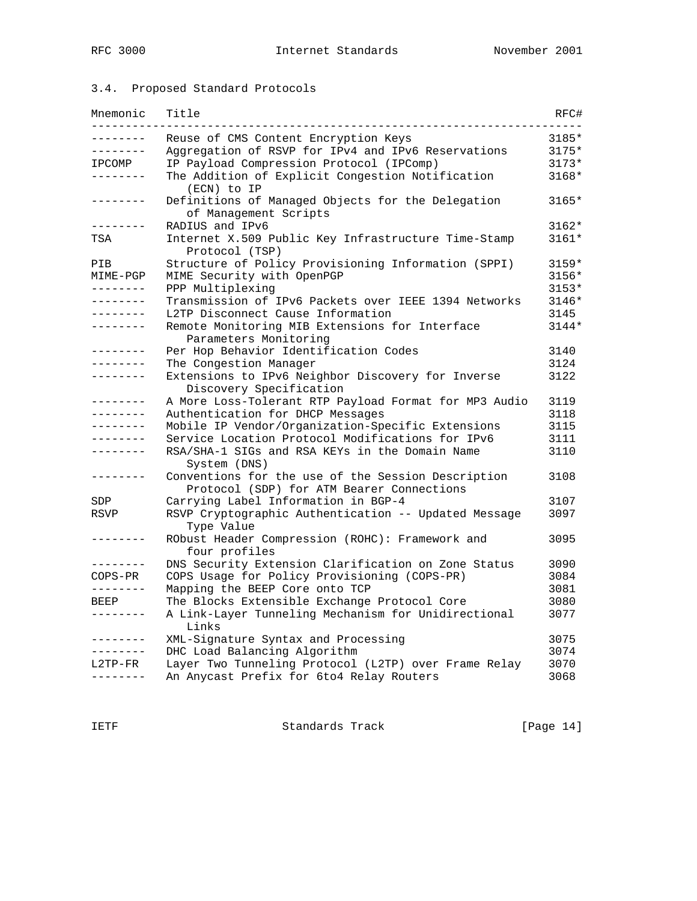# 3.4. Proposed Standard Protocols

| Mnemonic               | Title                                                                                           | RFC#    |
|------------------------|-------------------------------------------------------------------------------------------------|---------|
| .                      | Reuse of CMS Content Encryption Keys                                                            | 3185*   |
| - - - - - - - -        | Aggregation of RSVP for IPv4 and IPv6 Reservations                                              | $3175*$ |
| IPCOMP                 | IP Payload Compression Protocol (IPComp)                                                        | $3173*$ |
| .                      | The Addition of Explicit Congestion Notification<br>(ECN) to IP                                 | $3168*$ |
| . <u>.</u> .           | Definitions of Managed Objects for the Delegation<br>of Management Scripts                      | $3165*$ |
| - - - - - - - -        | RADIUS and IPv6                                                                                 | $3162*$ |
| TSA                    | Internet X.509 Public Key Infrastructure Time-Stamp<br>Protocol (TSP)                           | $3161*$ |
| PIB                    | Structure of Policy Provisioning Information (SPPI)                                             | $3159*$ |
| MIME-PGP               | MIME Security with OpenPGP                                                                      | 3156*   |
| --------               | PPP Multiplexing                                                                                | $3153*$ |
| . <u>.</u> .           | Transmission of IPv6 Packets over IEEE 1394 Networks                                            | 3146*   |
| --------               | L2TP Disconnect Cause Information                                                               | 3145    |
| --------               | Remote Monitoring MIB Extensions for Interface                                                  | $3144*$ |
|                        | Parameters Monitoring                                                                           |         |
| .                      | Per Hop Behavior Identification Codes                                                           | 3140    |
| - - - - - - - -        | The Congestion Manager                                                                          | 3124    |
| .                      | Extensions to IPv6 Neighbor Discovery for Inverse<br>Discovery Specification                    | 3122    |
| ---------              | A More Loss-Tolerant RTP Payload Format for MP3 Audio                                           | 3119    |
| --------               | Authentication for DHCP Messages                                                                | 3118    |
| --------               | Mobile IP Vendor/Organization-Specific Extensions                                               | 3115    |
| .                      | Service Location Protocol Modifications for IPv6                                                | 3111    |
| .                      | RSA/SHA-1 SIGs and RSA KEYs in the Domain Name<br>System (DNS)                                  | 3110    |
| ب کا کا کا کا کا کا کا | Conventions for the use of the Session Description<br>Protocol (SDP) for ATM Bearer Connections | 3108    |
| SDP                    | Carrying Label Information in BGP-4                                                             | 3107    |
| <b>RSVP</b>            | RSVP Cryptographic Authentication -- Updated Message<br>Type Value                              | 3097    |
| .                      | RObust Header Compression (ROHC): Framework and<br>four profiles                                | 3095    |
| . <u>.</u> .           | DNS Security Extension Clarification on Zone Status                                             | 3090    |
| $COPS-PR$              | COPS Usage for Policy Provisioning (COPS-PR)                                                    | 3084    |
| --------               | Mapping the BEEP Core onto TCP                                                                  | 3081    |
| BEEP                   | The Blocks Extensible Exchange Protocol Core                                                    | 3080    |
| . <u>.</u> .           | A Link-Layer Tunneling Mechanism for Unidirectional<br>Links                                    | 3077    |
| . <u>.</u>             | XML-Signature Syntax and Processing                                                             | 3075    |
| --------               | DHC Load Balancing Algorithm                                                                    | 3074    |
| L2TP-FR                | Layer Two Tunneling Protocol (L2TP) over Frame Relay                                            | 3070    |
| --------               | An Anycast Prefix for 6to4 Relay Routers                                                        | 3068    |

IETF Standards Track [Page 14]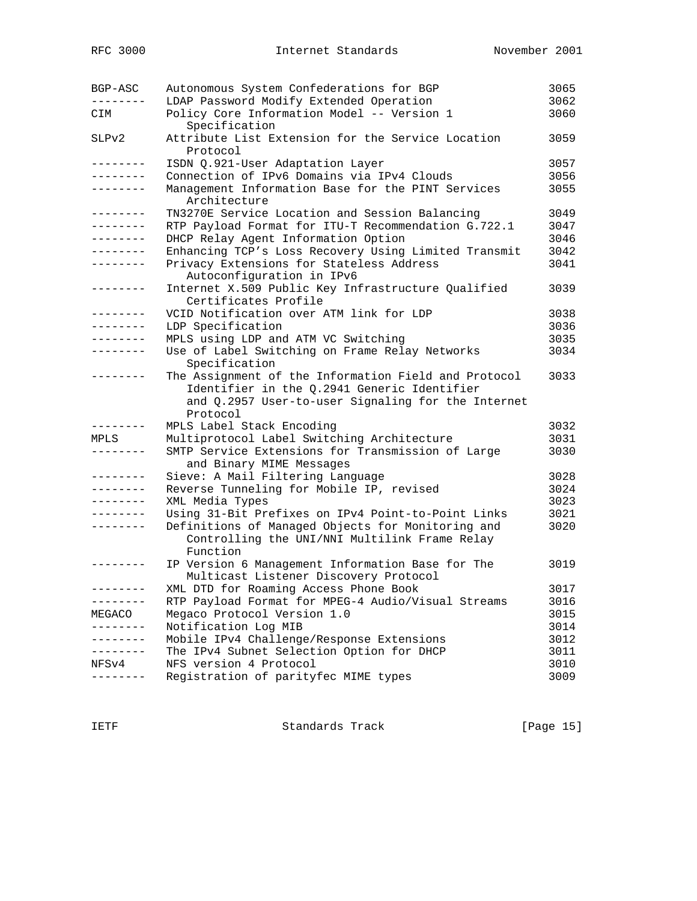| BGP-ASC         | Autonomous System Confederations for BGP<br>LDAP Password Modify Extended Operation                                                                                   | 3065<br>3062 |
|-----------------|-----------------------------------------------------------------------------------------------------------------------------------------------------------------------|--------------|
| CIM             | Policy Core Information Model -- Version 1<br>Specification                                                                                                           | 3060         |
| SLPv2           | Attribute List Extension for the Service Location<br>Protocol                                                                                                         | 3059         |
| ---------       | ISDN Q.921-User Adaptation Layer                                                                                                                                      | 3057         |
| . <u>.</u> .    | Connection of IPv6 Domains via IPv4 Clouds                                                                                                                            | 3056         |
| --------        | Management Information Base for the PINT Services<br>Architecture                                                                                                     | 3055         |
| --------        | TN3270E Service Location and Session Balancing                                                                                                                        | 3049         |
| --------        | RTP Payload Format for ITU-T Recommendation G.722.1                                                                                                                   | 3047         |
| . <u>.</u> .    | DHCP Relay Agent Information Option                                                                                                                                   | 3046         |
| . <u>.</u> .    | Enhancing TCP's Loss Recovery Using Limited Transmit                                                                                                                  | 3042         |
|                 | Privacy Extensions for Stateless Address<br>Autoconfiguration in IPv6                                                                                                 | 3041         |
| . <u>.</u>      | Internet X.509 Public Key Infrastructure Qualified<br>Certificates Profile                                                                                            | 3039         |
| .               | VCID Notification over ATM link for LDP                                                                                                                               | 3038         |
| ---------       | LDP Specification                                                                                                                                                     | 3036         |
| . <u>.</u> .    | MPLS using LDP and ATM VC Switching                                                                                                                                   | 3035         |
| --------        | Use of Label Switching on Frame Relay Networks<br>Specification                                                                                                       | 3034         |
|                 | The Assignment of the Information Field and Protocol<br>Identifier in the Q.2941 Generic Identifier<br>and Q.2957 User-to-user Signaling for the Internet<br>Protocol | 3033         |
| --------        | MPLS Label Stack Encoding                                                                                                                                             | 3032         |
| MPLS            | Multiprotocol Label Switching Architecture                                                                                                                            | 3031         |
|                 | SMTP Service Extensions for Transmission of Large<br>and Binary MIME Messages                                                                                         | 3030         |
| . <u>.</u> .    | Sieve: A Mail Filtering Language                                                                                                                                      | 3028         |
| --------        | Reverse Tunneling for Mobile IP, revised                                                                                                                              | 3024         |
| --------        | XML Media Types                                                                                                                                                       | 3023         |
| --------        | Using 31-Bit Prefixes on IPv4 Point-to-Point Links                                                                                                                    | 3021         |
|                 | Definitions of Managed Objects for Monitoring and<br>Controlling the UNI/NNI Multilink Frame Relay<br>Function                                                        | 3020         |
|                 | IP Version 6 Management Information Base for The<br>Multicast Listener Discovery Protocol                                                                             | 3019         |
|                 | XML DTD for Roaming Access Phone Book                                                                                                                                 | 3017         |
| --------        | RTP Payload Format for MPEG-4 Audio/Visual Streams                                                                                                                    | 3016         |
| MEGACO          | Megaco Protocol Version 1.0                                                                                                                                           | 3015         |
| .               | Notification Log MIB                                                                                                                                                  | 3014         |
|                 | Mobile IPv4 Challenge/Response Extensions                                                                                                                             | 3012         |
| . – – – – – – – | The IPv4 Subnet Selection Option for DHCP                                                                                                                             | 3011         |
| NFSv4           | NFS version 4 Protocol                                                                                                                                                | 3010         |
|                 | Registration of parityfec MIME types                                                                                                                                  | 3009         |

IETF Standards Track [Page 15]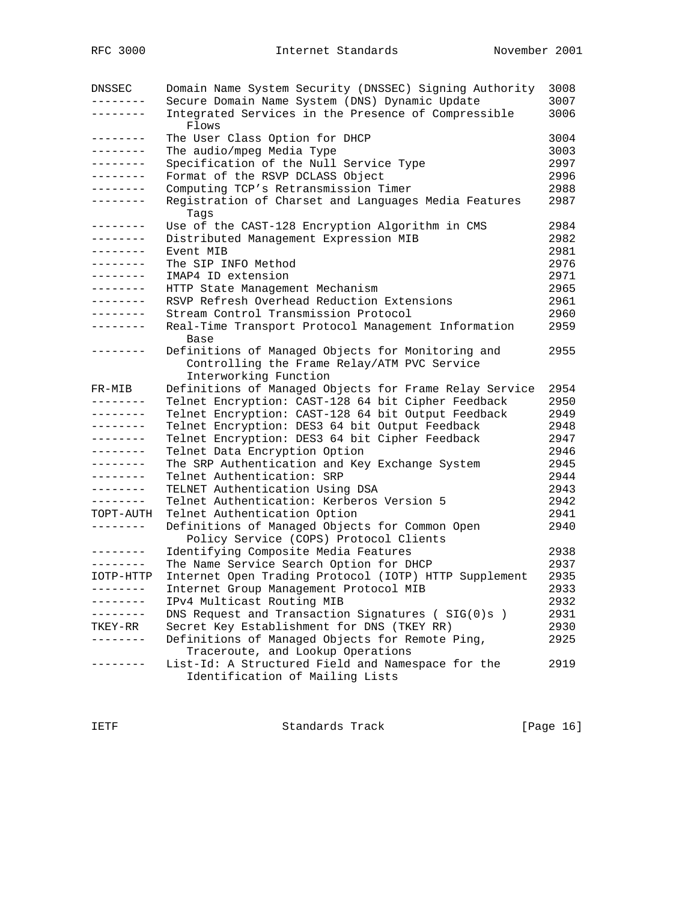| <b>DNSSEC</b>     | Domain Name System Security (DNSSEC) Signing Authority       | 3008 |
|-------------------|--------------------------------------------------------------|------|
| $- - - - - - -$   | Secure Domain Name System (DNS) Dynamic Update               | 3007 |
| . _ _ _ _ _ _ _   | Integrated Services in the Presence of Compressible<br>Flows | 3006 |
| --------          | The User Class Option for DHCP                               | 3004 |
| --------          | The audio/mpeg Media Type                                    | 3003 |
| --------          | Specification of the Null Service Type                       | 2997 |
| --------          | Format of the RSVP DCLASS Object                             | 2996 |
| --------          | Computing TCP's Retransmission Timer                         | 2988 |
| --------          | Registration of Charset and Languages Media Features         | 2987 |
|                   | Taqs                                                         |      |
| ---------         | Use of the CAST-128 Encryption Algorithm in CMS              | 2984 |
| . <u>.</u>        | Distributed Management Expression MIB                        | 2982 |
| . <u>.</u> .      | Event MIB                                                    | 2981 |
| .                 | The SIP INFO Method                                          | 2976 |
| --------          | IMAP4 ID extension                                           | 2971 |
| --------          | HTTP State Management Mechanism                              | 2965 |
| --------          | RSVP Refresh Overhead Reduction Extensions                   | 2961 |
| --------          | Stream Control Transmission Protocol                         | 2960 |
| --------          | Real-Time Transport Protocol Management Information          | 2959 |
|                   | Base                                                         |      |
| --------          | Definitions of Managed Objects for Monitoring and            | 2955 |
|                   | Controlling the Frame Relay/ATM PVC Service                  |      |
|                   | Interworking Function                                        |      |
| FR-MIB            | Definitions of Managed Objects for Frame Relay Service       | 2954 |
| .                 | Telnet Encryption: CAST-128 64 bit Cipher Feedback           | 2950 |
| .                 | Telnet Encryption: CAST-128 64 bit Output Feedback           | 2949 |
| --------          | Telnet Encryption: DES3 64 bit Output Feedback               | 2948 |
| --------          | Telnet Encryption: DES3 64 bit Cipher Feedback               | 2947 |
| --------          | Telnet Data Encryption Option                                | 2946 |
| --------          | The SRP Authentication and Key Exchange System               | 2945 |
| --------          | Telnet Authentication: SRP                                   | 2944 |
| --------          | TELNET Authentication Using DSA                              | 2943 |
| .                 | Telnet Authentication: Kerberos Version 5                    | 2942 |
| TOPT-AUTH         | Telnet Authentication Option                                 | 2941 |
| --------          | Definitions of Managed Objects for Common Open               | 2940 |
|                   | Policy Service (COPS) Protocol Clients                       |      |
| --------          | Identifying Composite Media Features                         | 2938 |
| --------          | The Name Service Search Option for DHCP                      | 2937 |
| IOTP-HTTP         | Internet Open Trading Protocol (IOTP) HTTP Supplement        | 2935 |
| $- - - - - - - -$ | Internet Group Management Protocol MIB                       | 2933 |
| $- - - - - - - -$ | IPv4 Multicast Routing MIB                                   | 2932 |
|                   | DNS Request and Transaction Signatures (SIG(0)s)             | 2931 |
| TKEY-RR           | Secret Key Establishment for DNS (TKEY RR)                   | 2930 |
|                   | Definitions of Managed Objects for Remote Ping,              | 2925 |
|                   | Traceroute, and Lookup Operations                            |      |
|                   | List-Id: A Structured Field and Namespace for the            | 2919 |
|                   | Identification of Mailing Lists                              |      |

IETF Standards Track [Page 16]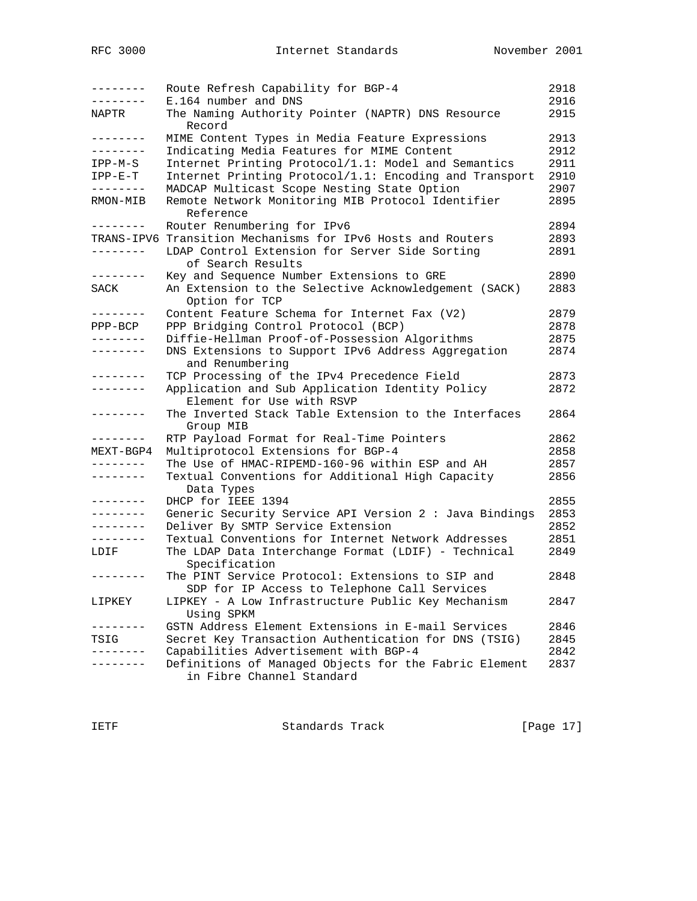| --------   | Route Refresh Capability for BGP-4<br>E.164 number and DNS                                       | 2918<br>2916 |
|------------|--------------------------------------------------------------------------------------------------|--------------|
| NAPTR      | The Naming Authority Pointer (NAPTR) DNS Resource<br>Record                                      | 2915         |
| .          | MIME Content Types in Media Feature Expressions                                                  | 2913         |
| --------   | Indicating Media Features for MIME Content                                                       | 2912         |
| $IPP-M-S$  | Internet Printing Protocol/1.1: Model and Semantics                                              | 2911         |
| $IPP-E-T$  | Internet Printing Protocol/1.1: Encoding and Transport                                           | 2910         |
| --------   | MADCAP Multicast Scope Nesting State Option                                                      | 2907         |
| RMON-MIB   | Remote Network Monitoring MIB Protocol Identifier<br>Reference                                   | 2895         |
| . <u>.</u> | Router Renumbering for IPv6                                                                      | 2894         |
| TRANS-IPV6 | Transition Mechanisms for IPv6 Hosts and Routers                                                 | 2893         |
| .          | LDAP Control Extension for Server Side Sorting<br>of Search Results                              | 2891         |
| --------   | Key and Sequence Number Extensions to GRE                                                        | 2890         |
| SACK       | An Extension to the Selective Acknowledgement (SACK)<br>Option for TCP                           | 2883         |
| --------   | Content Feature Schema for Internet Fax (V2)                                                     | 2879         |
| $PPP-BCP$  | PPP Bridging Control Protocol (BCP)                                                              | 2878         |
| .          | Diffie-Hellman Proof-of-Possession Algorithms                                                    | 2875         |
| --------   | DNS Extensions to Support IPv6 Address Aggregation<br>and Renumbering                            | 2874         |
| . <u>.</u> | TCP Processing of the IPv4 Precedence Field                                                      | 2873         |
| . <u>.</u> | Application and Sub Application Identity Policy<br>Element for Use with RSVP                     | 2872         |
| . <u>.</u> | The Inverted Stack Table Extension to the Interfaces<br>Group MIB                                | 2864         |
| --------   | RTP Payload Format for Real-Time Pointers                                                        | 2862         |
| MEXT-BGP4  | Multiprotocol Extensions for BGP-4                                                               | 2858         |
| --------   | The Use of HMAC-RIPEMD-160-96 within ESP and AH                                                  | 2857         |
| --------   | Textual Conventions for Additional High Capacity<br>Data Types                                   | 2856         |
| . <u>.</u> | DHCP for IEEE 1394                                                                               | 2855         |
| --------   | Generic Security Service API Version 2 : Java Bindings                                           | 2853         |
| --------   | Deliver By SMTP Service Extension                                                                | 2852         |
| --------   | Textual Conventions for Internet Network Addresses                                               | 2851         |
| LDIF       | The LDAP Data Interchange Format (LDIF) - Technical<br>Specification                             | 2849         |
| --------   | The PINT Service Protocol: Extensions to SIP and<br>SDP for IP Access to Telephone Call Services | 2848         |
| LIPKEY     | LIPKEY - A Low Infrastructure Public Key Mechanism<br>Using SPKM                                 | 2847         |
|            | GSTN Address Element Extensions in E-mail Services                                               | 2846         |
| TSIG       | Secret Key Transaction Authentication for DNS (TSIG)                                             | 2845         |
|            | Capabilities Advertisement with BGP-4                                                            | 2842         |
|            | Definitions of Managed Objects for the Fabric Element<br>in Fibre Channel Standard               | 2837         |

IETF Standards Track [Page 17]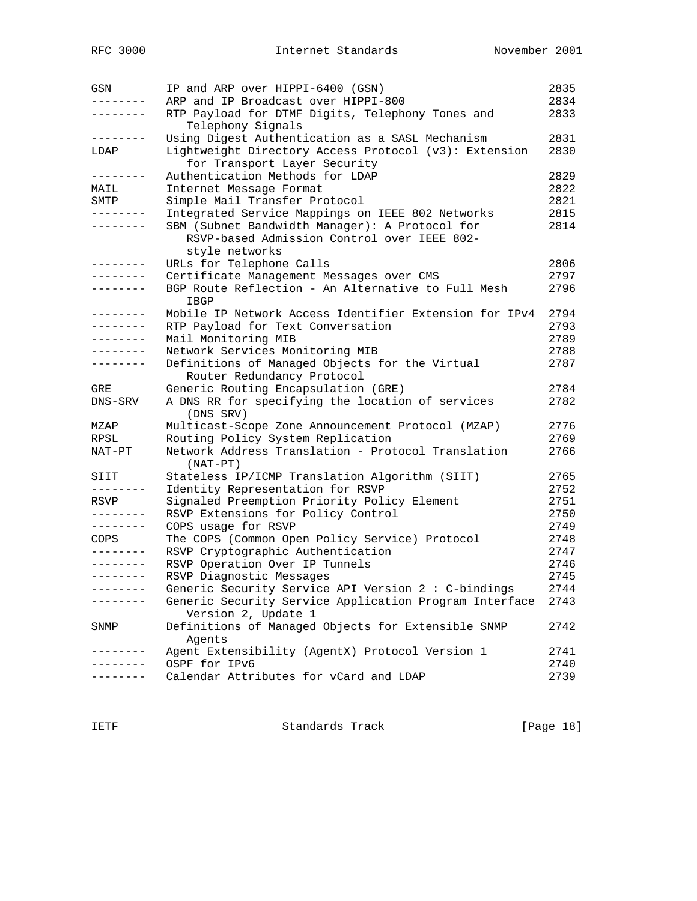| GSN       | IP and ARP over HIPPI-6400 (GSN)                                              | 2835 |
|-----------|-------------------------------------------------------------------------------|------|
| --------  | ARP and IP Broadcast over HIPPI-800                                           | 2834 |
| --------  | RTP Payload for DTMF Digits, Telephony Tones and<br>Telephony Signals         | 2833 |
| --------  | Using Digest Authentication as a SASL Mechanism                               | 2831 |
| LDAP      | Lightweight Directory Access Protocol (v3): Extension                         | 2830 |
|           | for Transport Layer Security                                                  |      |
| --------  | Authentication Methods for LDAP                                               | 2829 |
| MAIL      | Internet Message Format                                                       | 2822 |
| SMTP      | Simple Mail Transfer Protocol                                                 | 2821 |
| --------  | Integrated Service Mappings on IEEE 802 Networks                              | 2815 |
| --------  | SBM (Subnet Bandwidth Manager): A Protocol for                                | 2814 |
|           | RSVP-based Admission Control over IEEE 802-                                   |      |
|           | style networks                                                                |      |
| .         | URLs for Telephone Calls                                                      | 2806 |
| .         | Certificate Management Messages over CMS                                      | 2797 |
|           | BGP Route Reflection - An Alternative to Full Mesh                            | 2796 |
|           | IBGP                                                                          |      |
| --------  | Mobile IP Network Access Identifier Extension for IPv4                        | 2794 |
| --------  | RTP Payload for Text Conversation                                             | 2793 |
| --------  | Mail Monitoring MIB                                                           | 2789 |
| --------  | Network Services Monitoring MIB                                               | 2788 |
| --------  | Definitions of Managed Objects for the Virtual                                | 2787 |
|           | Router Redundancy Protocol                                                    |      |
| GRE       | Generic Routing Encapsulation (GRE)                                           | 2784 |
| DNS-SRV   | A DNS RR for specifying the location of services<br>(DNS SRV)                 | 2782 |
| MZAP      | Multicast-Scope Zone Announcement Protocol (MZAP)                             | 2776 |
| RPSL      | Routing Policy System Replication                                             | 2769 |
| NAT-PT    | Network Address Translation - Protocol Translation<br>$(NAT-PT)$              | 2766 |
| SIIT      | Stateless IP/ICMP Translation Algorithm (SIIT)                                | 2765 |
| --------  | Identity Representation for RSVP                                              | 2752 |
| RSVP      | Signaled Preemption Priority Policy Element                                   | 2751 |
| --------  | RSVP Extensions for Policy Control                                            | 2750 |
| --------- | COPS usage for RSVP                                                           | 2749 |
| COPS      | The COPS (Common Open Policy Service) Protocol                                | 2748 |
| --------  | RSVP Cryptographic Authentication                                             | 2747 |
| --------  | RSVP Operation Over IP Tunnels                                                | 2746 |
| --------  | RSVP Diagnostic Messages                                                      | 2745 |
| --------  | Generic Security Service API Version 2 : C-bindings                           | 2744 |
| -------   | Generic Security Service Application Program Interface<br>Version 2, Update 1 | 2743 |
| SNMP      | Definitions of Managed Objects for Extensible SNMP<br>Agents                  | 2742 |
|           | Agent Extensibility (AgentX) Protocol Version 1                               | 2741 |
|           | OSPF for IPv6                                                                 | 2740 |
|           | Calendar Attributes for vCard and LDAP                                        | 2739 |
|           |                                                                               |      |

IETF Standards Track [Page 18]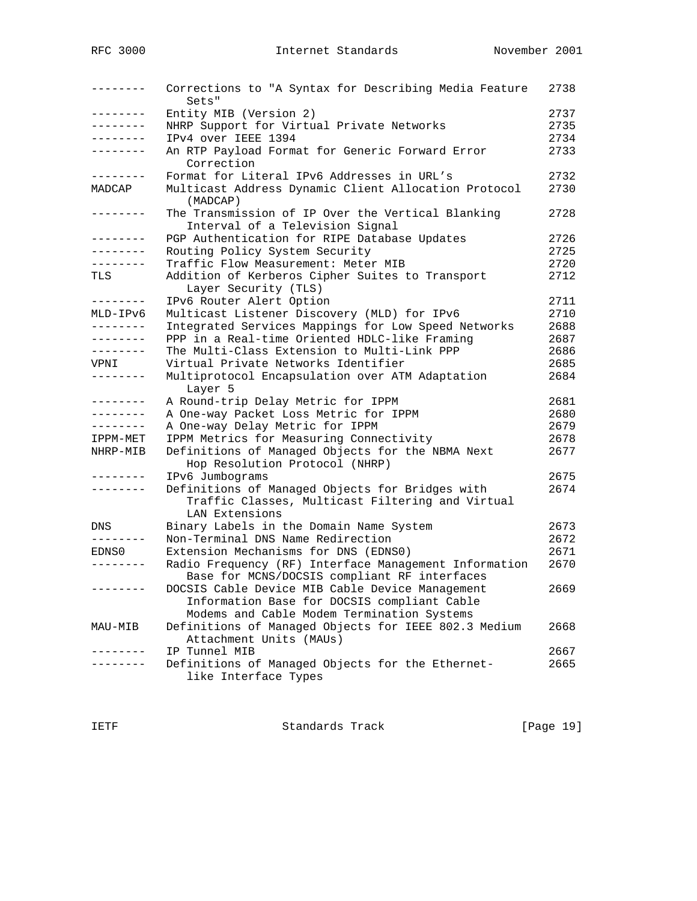| --------              | Corrections to "A Syntax for Describing Media Feature<br>Sets"                       | 2738 |
|-----------------------|--------------------------------------------------------------------------------------|------|
| --------              | Entity MIB (Version 2)                                                               | 2737 |
| --------              | NHRP Support for Virtual Private Networks                                            | 2735 |
| --------              | IPv4 over IEEE 1394                                                                  | 2734 |
| --------              | An RTP Payload Format for Generic Forward Error<br>Correction                        | 2733 |
|                       | Format for Literal IPv6 Addresses in URL's                                           | 2732 |
| MADCAP                | Multicast Address Dynamic Client Allocation Protocol<br>(MADCAP)                     | 2730 |
| $- - - - - - -$       | The Transmission of IP Over the Vertical Blanking<br>Interval of a Television Signal | 2728 |
| --------              | PGP Authentication for RIPE Database Updates                                         | 2726 |
|                       | Routing Policy System Security                                                       | 2725 |
| --------              | Traffic Flow Measurement: Meter MIB                                                  | 2720 |
| TLS                   | Addition of Kerberos Cipher Suites to Transport                                      | 2712 |
|                       | Layer Security (TLS)                                                                 |      |
| --------              | IPv6 Router Alert Option                                                             | 2711 |
| MLD-IPv6              | Multicast Listener Discovery (MLD) for IPv6                                          | 2710 |
| --------              | Integrated Services Mappings for Low Speed Networks                                  | 2688 |
| --------              | PPP in a Real-time Oriented HDLC-like Framing                                        | 2687 |
| --------              | The Multi-Class Extension to Multi-Link PPP                                          | 2686 |
| VPNI                  | Virtual Private Networks Identifier                                                  | 2685 |
| --------              | Multiprotocol Encapsulation over ATM Adaptation                                      | 2684 |
|                       | Layer 5                                                                              |      |
| . <u>.</u>            | A Round-trip Delay Metric for IPPM                                                   | 2681 |
| $- - - - - - - -$     | A One-way Packet Loss Metric for IPPM                                                | 2680 |
| . <u>.</u> .          | A One-way Delay Metric for IPPM                                                      | 2679 |
| IPPM-MET              | IPPM Metrics for Measuring Connectivity                                              | 2678 |
| NHRP-MIB              | Definitions of Managed Objects for the NBMA Next<br>Hop Resolution Protocol (NHRP)   | 2677 |
|                       | IPv6 Jumbograms                                                                      | 2675 |
| --------              | Definitions of Managed Objects for Bridges with                                      | 2674 |
|                       | Traffic Classes, Multicast Filtering and Virtual<br>LAN Extensions                   |      |
| DNS                   | Binary Labels in the Domain Name System                                              | 2673 |
| $- - - -$<br>$-- - -$ | Non-Terminal DNS Name Redirection                                                    | 2672 |
| EDNS0                 | Extension Mechanisms for DNS (EDNS0)                                                 | 2671 |
|                       | Radio Frequency (RF) Interface Management Information                                | 2670 |
|                       | Base for MCNS/DOCSIS compliant RF interfaces                                         |      |
|                       | DOCSIS Cable Device MIB Cable Device Management                                      | 2669 |
|                       | Information Base for DOCSIS compliant Cable                                          |      |
|                       | Modems and Cable Modem Termination Systems                                           |      |
| MAU-MIB               | Definitions of Managed Objects for IEEE 802.3 Medium                                 | 2668 |
|                       | Attachment Units (MAUs)                                                              |      |
|                       | IP Tunnel MIB                                                                        | 2667 |
|                       | Definitions of Managed Objects for the Ethernet-                                     | 2665 |
|                       | like Interface Types                                                                 |      |

IETF Standards Track [Page 19]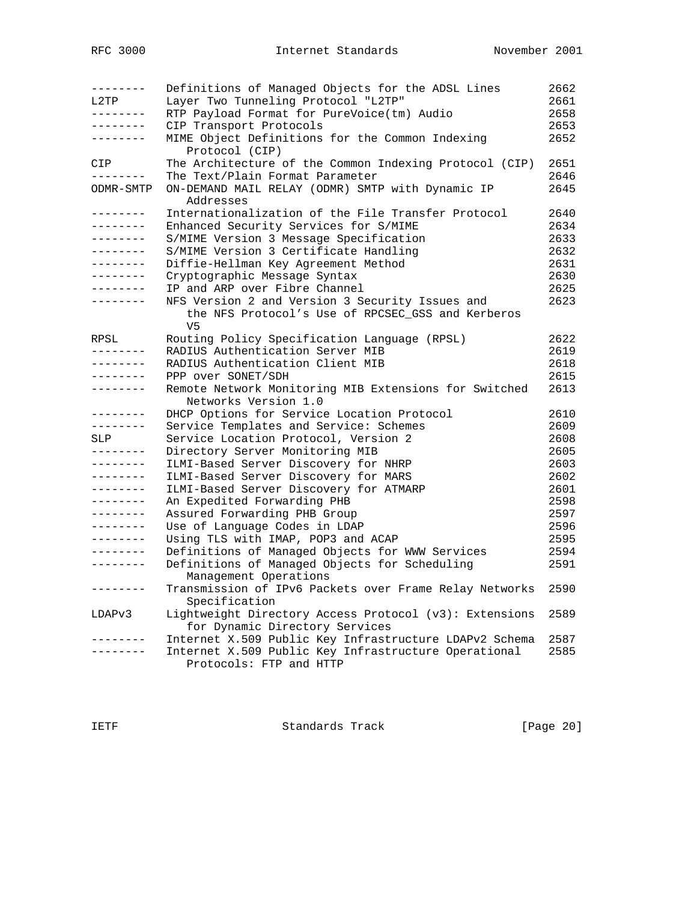| --------<br>L2TP | Definitions of Managed Objects for the ADSL Lines<br>Layer Two Tunneling Protocol "L2TP" | 2662<br>2661 |
|------------------|------------------------------------------------------------------------------------------|--------------|
| --------         |                                                                                          |              |
| ---------        | RTP Payload Format for PureVoice(tm) Audio                                               | 2658         |
|                  | CIP Transport Protocols                                                                  | 2653         |
| --------         | MIME Object Definitions for the Common Indexing<br>Protocol (CIP)                        | 2652         |
| CIP              | The Architecture of the Common Indexing Protocol (CIP)                                   | 2651         |
| . <u>.</u> .     | The Text/Plain Format Parameter                                                          | 2646         |
| ODMR-SMTP        | ON-DEMAND MAIL RELAY (ODMR) SMTP with Dynamic IP<br>Addresses                            | 2645         |
| --------         | Internationalization of the File Transfer Protocol                                       | 2640         |
| ---------        | Enhanced Security Services for S/MIME                                                    | 2634         |
| --------         | S/MIME Version 3 Message Specification                                                   | 2633         |
| --------         | S/MIME Version 3 Certificate Handling                                                    | 2632         |
| ---------        | Diffie-Hellman Key Agreement Method                                                      | 2631         |
| . <u>.</u> .     | Cryptographic Message Syntax                                                             | 2630         |
| . <u>.</u> .     | IP and ARP over Fibre Channel                                                            | 2625         |
| --------         | NFS Version 2 and Version 3 Security Issues and                                          | 2623         |
|                  | the NFS Protocol's Use of RPCSEC_GSS and Kerberos<br>V5                                  |              |
| RPSL             | Routing Policy Specification Language (RPSL)                                             | 2622         |
| --------         | RADIUS Authentication Server MIB                                                         | 2619         |
| - - - - - - - -  | RADIUS Authentication Client MIB                                                         | 2618         |
| ---------        | PPP over SONET/SDH                                                                       | 2615         |
| --------         | Remote Network Monitoring MIB Extensions for Switched                                    | 2613         |
|                  | Networks Version 1.0                                                                     |              |
| --------         | DHCP Options for Service Location Protocol                                               | 2610         |
| --------         | Service Templates and Service: Schemes                                                   | 2609         |
| SLP              | Service Location Protocol, Version 2                                                     | 2608         |
| --------         | Directory Server Monitoring MIB                                                          | 2605         |
| --------         | ILMI-Based Server Discovery for NHRP                                                     | 2603         |
| --------         | ILMI-Based Server Discovery for MARS                                                     | 2602         |
| --------         | ILMI-Based Server Discovery for ATMARP                                                   | 2601         |
| .                | An Expedited Forwarding PHB                                                              | 2598         |
| - - - - - - - -  | Assured Forwarding PHB Group                                                             | 2597         |
| --------         | Use of Language Codes in LDAP                                                            | 2596         |
| --------         | Using TLS with IMAP, POP3 and ACAP                                                       | 2595         |
| --------         | Definitions of Managed Objects for WWW Services                                          | 2594         |
| ---------        | Definitions of Managed Objects for Scheduling                                            | 2591         |
|                  | Management Operations                                                                    |              |
| --------         | Transmission of IPv6 Packets over Frame Relay Networks<br>Specification                  | 2590         |
| LDAPv3           | Lightweight Directory Access Protocol (v3): Extensions                                   | 2589         |
|                  | for Dynamic Directory Services                                                           |              |
|                  | Internet X.509 Public Key Infrastructure LDAPv2 Schema                                   | 2587         |
| --------         | Internet X.509 Public Key Infrastructure Operational                                     | 2585         |
|                  | Protocols: FTP and HTTP                                                                  |              |

IETF Standards Track [Page 20]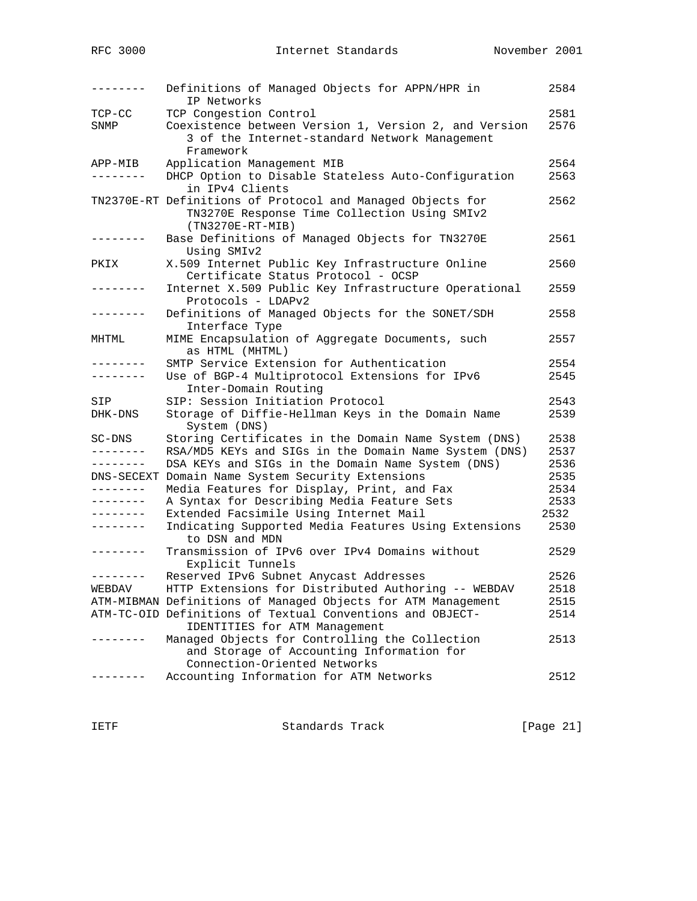| $- - - - - - -$   | Definitions of Managed Objects for APPN/HPR in<br>IP Networks | 2584 |
|-------------------|---------------------------------------------------------------|------|
| $TCP-CC$          | TCP Congestion Control                                        | 2581 |
| SNMP              | Coexistence between Version 1, Version 2, and Version         | 2576 |
|                   | 3 of the Internet-standard Network Management                 |      |
|                   | Framework                                                     |      |
| APP-MIB           | Application Management MIB                                    | 2564 |
| . <u>.</u> .      | DHCP Option to Disable Stateless Auto-Configuration           | 2563 |
|                   | in IPv4 Clients                                               |      |
|                   | TN2370E-RT Definitions of Protocol and Managed Objects for    | 2562 |
|                   | TN3270E Response Time Collection Using SMIv2                  |      |
|                   | $(TN3270E-RT-MIB)$                                            |      |
|                   | Base Definitions of Managed Objects for TN3270E               | 2561 |
|                   | Using SMIv2                                                   |      |
| PKIX              | X.509 Internet Public Key Infrastructure Online               | 2560 |
|                   | Certificate Status Protocol - OCSP                            |      |
| --------          | Internet X.509 Public Key Infrastructure Operational          | 2559 |
|                   | Protocols - LDAPv2                                            |      |
| --------          | Definitions of Managed Objects for the SONET/SDH              | 2558 |
|                   | Interface Type                                                |      |
| MHTML             | MIME Encapsulation of Aggregate Documents, such               | 2557 |
|                   | as HTML (MHTML)                                               |      |
| --------          |                                                               | 2554 |
| --------          | SMTP Service Extension for Authentication                     |      |
|                   | Use of BGP-4 Multiprotocol Extensions for IPv6                | 2545 |
|                   | Inter-Domain Routing                                          |      |
| SIP               | SIP: Session Initiation Protocol                              | 2543 |
| DHK-DNS           | Storage of Diffie-Hellman Keys in the Domain Name             | 2539 |
|                   | System (DNS)                                                  |      |
| SC-DNS            | Storing Certificates in the Domain Name System (DNS)          | 2538 |
| --------          | RSA/MD5 KEYs and SIGs in the Domain Name System (DNS)         | 2537 |
| --------          | DSA KEYs and SIGs in the Domain Name System (DNS)             | 2536 |
|                   | DNS-SECEXT Domain Name System Security Extensions             | 2535 |
| --------          | Media Features for Display, Print, and Fax                    | 2534 |
| --------          | A Syntax for Describing Media Feature Sets                    | 2533 |
| $- - - - - - - -$ | Extended Facsimile Using Internet Mail                        | 2532 |
| --------          | Indicating Supported Media Features Using Extensions          | 2530 |
|                   | to DSN and MDN                                                |      |
| --------          | Transmission of IPv6 over IPv4 Domains without                | 2529 |
|                   | Explicit Tunnels                                              |      |
|                   | Reserved IPv6 Subnet Anycast Addresses                        | 2526 |
| WEBDAV            | HTTP Extensions for Distributed Authoring -- WEBDAV           | 2518 |
|                   | ATM-MIBMAN Definitions of Managed Objects for ATM Management  | 2515 |
|                   | ATM-TC-OID Definitions of Textual Conventions and OBJECT-     | 2514 |
|                   | IDENTITIES for ATM Management                                 |      |
|                   | Managed Objects for Controlling the Collection                | 2513 |
|                   | and Storage of Accounting Information for                     |      |
|                   | Connection-Oriented Networks                                  |      |
|                   | Accounting Information for ATM Networks                       | 2512 |
|                   |                                                               |      |

IETF Standards Track [Page 21]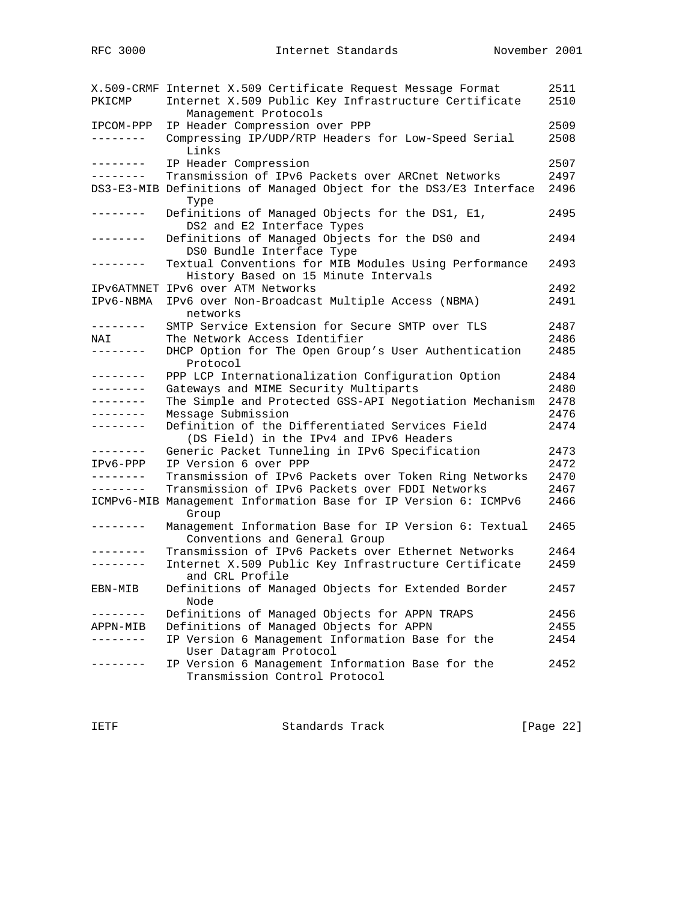| PKICMP       | X.509-CRMF Internet X.509 Certificate Request Message Format<br>Internet X.509 Public Key Infrastructure Certificate<br>Management Protocols | 2511<br>2510 |
|--------------|----------------------------------------------------------------------------------------------------------------------------------------------|--------------|
| IPCOM-PPP    | IP Header Compression over PPP                                                                                                               | 2509         |
| --------     | Compressing IP/UDP/RTP Headers for Low-Speed Serial<br>Links                                                                                 | 2508         |
| . <i>.</i> . | IP Header Compression                                                                                                                        | 2507         |
| --------     | Transmission of IPv6 Packets over ARCnet Networks                                                                                            | 2497         |
|              | DS3-E3-MIB Definitions of Managed Object for the DS3/E3 Interface<br>Type                                                                    | 2496         |
| --------     | Definitions of Managed Objects for the DS1, E1,<br>DS2 and E2 Interface Types                                                                | 2495         |
| . <i>.</i> . | Definitions of Managed Objects for the DS0 and<br>DS0 Bundle Interface Type                                                                  | 2494         |
| -------      | Textual Conventions for MIB Modules Using Performance<br>History Based on 15 Minute Intervals                                                | 2493         |
|              | IPV6ATMNET IPV6 over ATM Networks                                                                                                            | 2492         |
| IPv6-NBMA    | IPv6 over Non-Broadcast Multiple Access (NBMA)<br>networks                                                                                   | 2491         |
| --------     | SMTP Service Extension for Secure SMTP over TLS                                                                                              | 2487         |
| NAI          | The Network Access Identifier                                                                                                                | 2486         |
| .            | DHCP Option for The Open Group's User Authentication<br>Protocol                                                                             | 2485         |
| ---------    | PPP LCP Internationalization Configuration Option                                                                                            | 2484         |
|              | Gateways and MIME Security Multiparts                                                                                                        | 2480         |
| .            | The Simple and Protected GSS-API Negotiation Mechanism                                                                                       | 2478         |
| -------      | Message Submission                                                                                                                           | 2476         |
|              | Definition of the Differentiated Services Field<br>(DS Field) in the IPv4 and IPv6 Headers                                                   | 2474         |
| --------     | Generic Packet Tunneling in IPv6 Specification                                                                                               | 2473         |
| IPv6-PPP     | IP Version 6 over PPP                                                                                                                        | 2472         |
| --------     | Transmission of IPv6 Packets over Token Ring Networks                                                                                        | 2470         |
| --------     | Transmission of IPv6 Packets over FDDI Networks                                                                                              | 2467         |
|              | ICMPv6-MIB Management Information Base for IP Version 6: ICMPv6<br>Group                                                                     | 2466         |
| .            | Management Information Base for IP Version 6: Textual<br>Conventions and General Group                                                       | 2465         |
|              | Transmission of IPv6 Packets over Ethernet Networks                                                                                          | 2464         |
| .            | Internet X.509 Public Key Infrastructure Certificate<br>and CRL Profile                                                                      | 2459         |
| EBN-MIB      | Definitions of Managed Objects for Extended Border<br>Node                                                                                   | 2457         |
|              | Definitions of Managed Objects for APPN TRAPS                                                                                                | 2456         |
| APPN-MIB     | Definitions of Managed Objects for APPN                                                                                                      | 2455         |
|              | IP Version 6 Management Information Base for the<br>User Datagram Protocol                                                                   | 2454         |
|              | IP Version 6 Management Information Base for the<br>Transmission Control Protocol                                                            | 2452         |

IETF Standards Track [Page 22]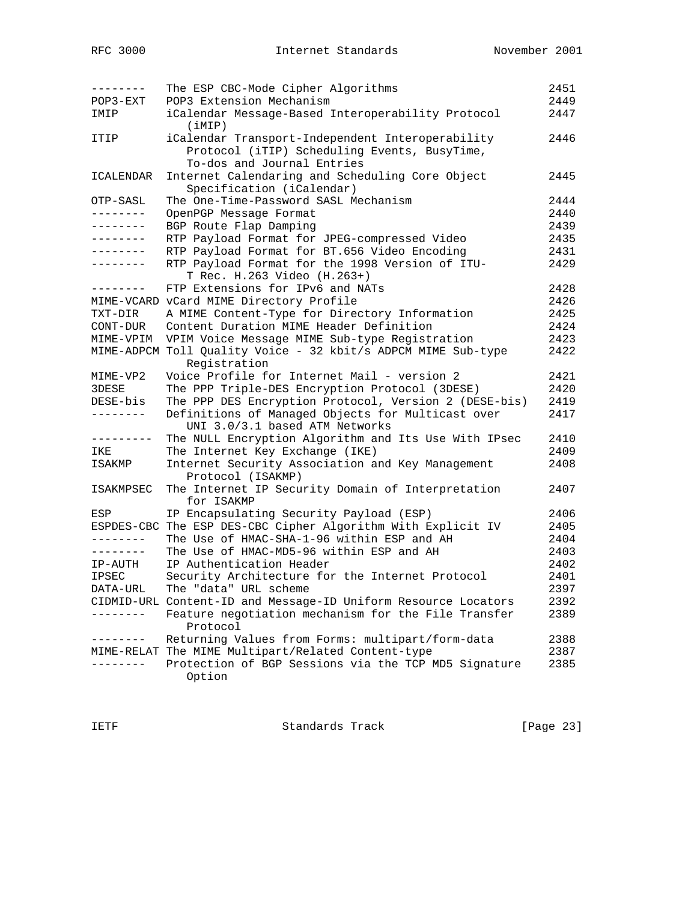| $- - - - - - - -$     | The ESP CBC-Mode Cipher Algorithms                                                  | 2451 |
|-----------------------|-------------------------------------------------------------------------------------|------|
| POP3-EXT              | POP3 Extension Mechanism                                                            | 2449 |
| IMIP                  | iCalendar Message-Based Interoperability Protocol<br>(iMIP)                         | 2447 |
| ITIP                  | iCalendar Transport-Independent Interoperability                                    | 2446 |
|                       | Protocol (iTIP) Scheduling Events, BusyTime,                                        |      |
|                       | To-dos and Journal Entries                                                          |      |
| ICALENDAR             | Internet Calendaring and Scheduling Core Object                                     | 2445 |
|                       | Specification (iCalendar)<br>The One-Time-Password SASL Mechanism                   | 2444 |
| OTP-SASL<br>--------- | OpenPGP Message Format                                                              | 2440 |
| --------              | BGP Route Flap Damping                                                              | 2439 |
| --------              | RTP Payload Format for JPEG-compressed Video                                        | 2435 |
| --------              | RTP Payload Format for BT.656 Video Encoding                                        | 2431 |
| --------              | RTP Payload Format for the 1998 Version of ITU-                                     | 2429 |
|                       | T Rec. H.263 Video (H.263+)                                                         |      |
| --------              | FTP Extensions for IPv6 and NATs                                                    | 2428 |
|                       | MIME-VCARD vCard MIME Directory Profile                                             | 2426 |
| TXT-DIR               | A MIME Content-Type for Directory Information                                       | 2425 |
| CONT-DUR              | Content Duration MIME Header Definition                                             | 2424 |
| MIME-VPIM             | VPIM Voice Message MIME Sub-type Registration                                       | 2423 |
|                       | MIME-ADPCM Toll Quality Voice - 32 kbit/s ADPCM MIME Sub-type                       | 2422 |
|                       | Registration                                                                        |      |
| MIME-VP2              | Voice Profile for Internet Mail - version 2                                         | 2421 |
| 3DESE                 | The PPP Triple-DES Encryption Protocol (3DESE)                                      | 2420 |
| DESE-bis              | The PPP DES Encryption Protocol, Version 2 (DESE-bis)                               | 2419 |
| --------              | Definitions of Managed Objects for Multicast over<br>UNI 3.0/3.1 based ATM Networks | 2417 |
| ---------             | The NULL Encryption Algorithm and Its Use With IPsec                                | 2410 |
| IKE                   | The Internet Key Exchange (IKE)                                                     | 2409 |
| ISAKMP                | Internet Security Association and Key Management<br>Protocol (ISAKMP)               | 2408 |
| ISAKMPSEC             | The Internet IP Security Domain of Interpretation<br>for ISAKMP                     | 2407 |
| ESP                   | IP Encapsulating Security Payload (ESP)                                             | 2406 |
| ESPDES-CBC            | The ESP DES-CBC Cipher Algorithm With Explicit IV                                   | 2405 |
| --------              | The Use of HMAC-SHA-1-96 within ESP and AH                                          | 2404 |
| - - - - - - - -       | The Use of HMAC-MD5-96 within ESP and AH                                            | 2403 |
| IP-AUTH               | IP Authentication Header                                                            | 2402 |
| <b>IPSEC</b>          | Security Architecture for the Internet Protocol                                     | 2401 |
| DATA-URL              | The "data" URL scheme                                                               | 2397 |
|                       | CIDMID-URL Content-ID and Message-ID Uniform Resource Locators                      | 2392 |
|                       | Feature negotiation mechanism for the File Transfer<br>Protocol                     | 2389 |
|                       | Returning Values from Forms: multipart/form-data                                    | 2388 |
|                       | MIME-RELAT The MIME Multipart/Related Content-type                                  | 2387 |
|                       | Protection of BGP Sessions via the TCP MD5 Signature                                | 2385 |
|                       | Option                                                                              |      |

IETF Standards Track [Page 23]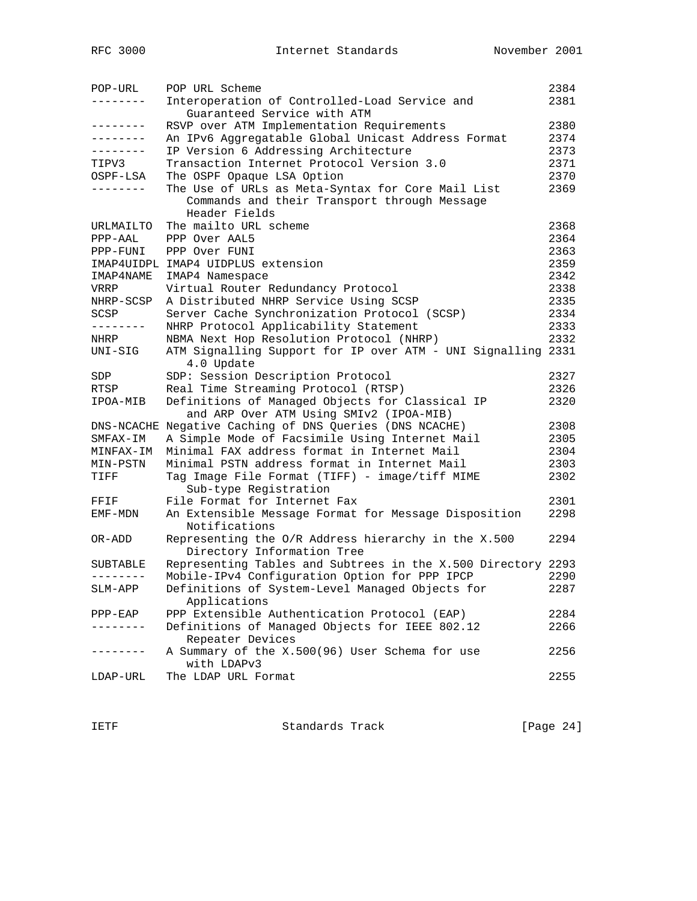| POP-URL           | POP URL Scheme                                               | 2384 |
|-------------------|--------------------------------------------------------------|------|
|                   | Interoperation of Controlled-Load Service and                | 2381 |
|                   | Guaranteed Service with ATM                                  |      |
| --------          | RSVP over ATM Implementation Requirements                    | 2380 |
| --------          | An IPv6 Aggregatable Global Unicast Address Format           | 2374 |
| .                 | IP Version 6 Addressing Architecture                         | 2373 |
| TIPV3             | Transaction Internet Protocol Version 3.0                    | 2371 |
| OSPF-LSA          | The OSPF Opaque LSA Option                                   | 2370 |
| $- - - - - - - -$ | The Use of URLs as Meta-Syntax for Core Mail List            | 2369 |
|                   | Commands and their Transport through Message                 |      |
|                   | Header Fields                                                |      |
| URLMAILTO         | The mailto URL scheme                                        | 2368 |
| PPP-AAL           | PPP Over AAL5                                                | 2364 |
| PPP-FUNI          | PPP Over FUNI                                                | 2363 |
|                   | IMAP4UIDPL IMAP4 UIDPLUS extension                           | 2359 |
| IMAP4NAME         | IMAP4 Namespace                                              | 2342 |
| VRRP              | Virtual Router Redundancy Protocol                           | 2338 |
| NHRP-SCSP         | A Distributed NHRP Service Using SCSP                        | 2335 |
| SCSP              | Server Cache Synchronization Protocol (SCSP)                 | 2334 |
| --------          | NHRP Protocol Applicability Statement                        | 2333 |
| NHRP              | NBMA Next Hop Resolution Protocol (NHRP)                     | 2332 |
| UNI-SIG           | ATM Signalling Support for IP over ATM - UNI Signalling 2331 |      |
|                   | 4.0 Update                                                   |      |
| SDP               | SDP: Session Description Protocol                            | 2327 |
| RTSP              | Real Time Streaming Protocol (RTSP)                          | 2326 |
| IPOA-MIB          | Definitions of Managed Objects for Classical IP              | 2320 |
|                   | and ARP Over ATM Using SMIv2 (IPOA-MIB)                      |      |
|                   | DNS-NCACHE Negative Caching of DNS Queries (DNS NCACHE)      | 2308 |
| SMFAX-IM          | A Simple Mode of Facsimile Using Internet Mail               | 2305 |
| MINFAX-IM         | Minimal FAX address format in Internet Mail                  | 2304 |
| MIN-PSTN          | Minimal PSTN address format in Internet Mail                 | 2303 |
| TIFF              | Tag Image File Format (TIFF) - image/tiff MIME               | 2302 |
|                   | Sub-type Registration                                        |      |
| FFIF              | File Format for Internet Fax                                 | 2301 |
| EMF-MDN           | An Extensible Message Format for Message Disposition         | 2298 |
|                   | Notifications                                                |      |
| OR-ADD            | Representing the O/R Address hierarchy in the X.500          | 2294 |
|                   | Directory Information Tree                                   |      |
| SUBTABLE          | Representing Tables and Subtrees in the X.500 Directory 2293 |      |
| --------          | Mobile-IPv4 Configuration Option for PPP IPCP                | 2290 |
| SLM-APP           | Definitions of System-Level Managed Objects for              | 2287 |
|                   | Applications                                                 |      |
| $PPP-EAP$         | PPP Extensible Authentication Protocol (EAP)                 | 2284 |
|                   | Definitions of Managed Objects for IEEE 802.12               | 2266 |
|                   | Repeater Devices                                             |      |
| . _ _ _ _ _ _ _   | A Summary of the X.500(96) User Schema for use               | 2256 |
|                   | with LDAPv3                                                  |      |
| LDAP-URL          | The LDAP URL Format                                          | 2255 |
|                   |                                                              |      |
|                   |                                                              |      |

IETF Standards Track [Page 24]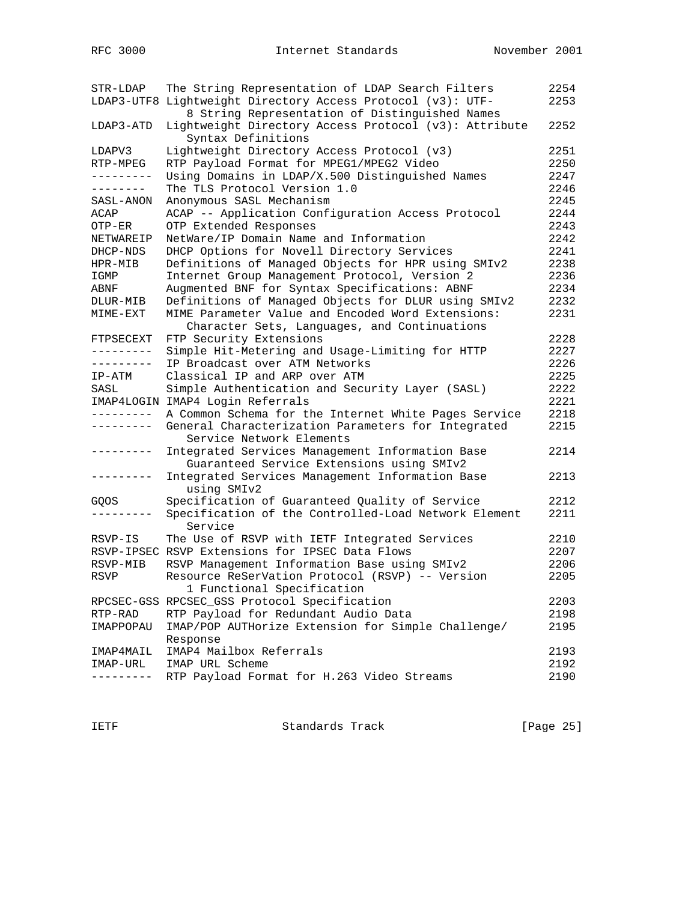| $STR-LDAP$ | The String Representation of LDAP Search Filters            | 2254 |
|------------|-------------------------------------------------------------|------|
|            | LDAP3-UTF8 Lightweight Directory Access Protocol (v3): UTF- | 2253 |
|            | 8 String Representation of Distinguished Names              |      |
| LDAP3-ATD  | Lightweight Directory Access Protocol (v3): Attribute       | 2252 |
|            | Syntax Definitions                                          |      |
| LDAPV3     | Lightweight Directory Access Protocol (v3)                  | 2251 |
| RTP-MPEG   | RTP Payload Format for MPEG1/MPEG2 Video                    | 2250 |
| ---------  | Using Domains in LDAP/X.500 Distinguished Names             | 2247 |
| --------   | The TLS Protocol Version 1.0                                | 2246 |
| SASL-ANON  | Anonymous SASL Mechanism                                    | 2245 |
| ACAP       | ACAP -- Application Configuration Access Protocol           | 2244 |
| OTP-ER     | OTP Extended Responses                                      | 2243 |
| NETWAREIP  | NetWare/IP Domain Name and Information                      | 2242 |
| DHCP-NDS   | DHCP Options for Novell Directory Services                  | 2241 |
| HPR-MIB    | Definitions of Managed Objects for HPR using SMIv2          | 2238 |
| IGMP       | Internet Group Management Protocol, Version 2               | 2236 |
| ABNF       | Augmented BNF for Syntax Specifications: ABNF               | 2234 |
| DLUR-MIB   | Definitions of Managed Objects for DLUR using SMIv2         | 2232 |
| MIME-EXT   | MIME Parameter Value and Encoded Word Extensions:           | 2231 |
|            | Character Sets, Languages, and Continuations                |      |
| FTPSECEXT  | FTP Security Extensions                                     | 2228 |
| ---------  | Simple Hit-Metering and Usage-Limiting for HTTP             | 2227 |
| ---------  | IP Broadcast over ATM Networks                              | 2226 |
| IP-ATM     | Classical IP and ARP over ATM                               | 2225 |
| SASL       | Simple Authentication and Security Layer (SASL)             | 2222 |
|            | IMAP4LOGIN IMAP4 Login Referrals                            | 2221 |
| ---------  | A Common Schema for the Internet White Pages Service        | 2218 |
| ---------  | General Characterization Parameters for Integrated          | 2215 |
|            | Service Network Elements                                    |      |
| ---------  | Integrated Services Management Information Base             | 2214 |
|            | Guaranteed Service Extensions using SMIv2                   |      |
| ---------  | Integrated Services Management Information Base             | 2213 |
|            | using SMIv2                                                 |      |
| GQOS       | Specification of Guaranteed Quality of Service              | 2212 |
|            | Specification of the Controlled-Load Network Element        | 2211 |
|            | Service                                                     |      |
| RSVP-IS    | The Use of RSVP with IETF Integrated Services               | 2210 |
|            | RSVP-IPSEC RSVP Extensions for IPSEC Data Flows             | 2207 |
| RSVP-MIB   | RSVP Management Information Base using SMIv2                | 2206 |
| RSVP       | Resource ReSerVation Protocol (RSVP) -- Version             | 2205 |
|            | 1 Functional Specification                                  |      |
|            | RPCSEC-GSS RPCSEC_GSS Protocol Specification                | 2203 |
| RTP-RAD    | RTP Payload for Redundant Audio Data                        | 2198 |
| IMAPPOPAU  | IMAP/POP AUTHorize Extension for Simple Challenge/          | 2195 |
|            | Response                                                    |      |
| IMAP4MAIL  | IMAP4 Mailbox Referrals                                     | 2193 |
| IMAP-URL   | IMAP URL Scheme                                             | 2192 |
| ---------  | RTP Payload Format for H.263 Video Streams                  | 2190 |
|            |                                                             |      |

IETF Standards Track [Page 25]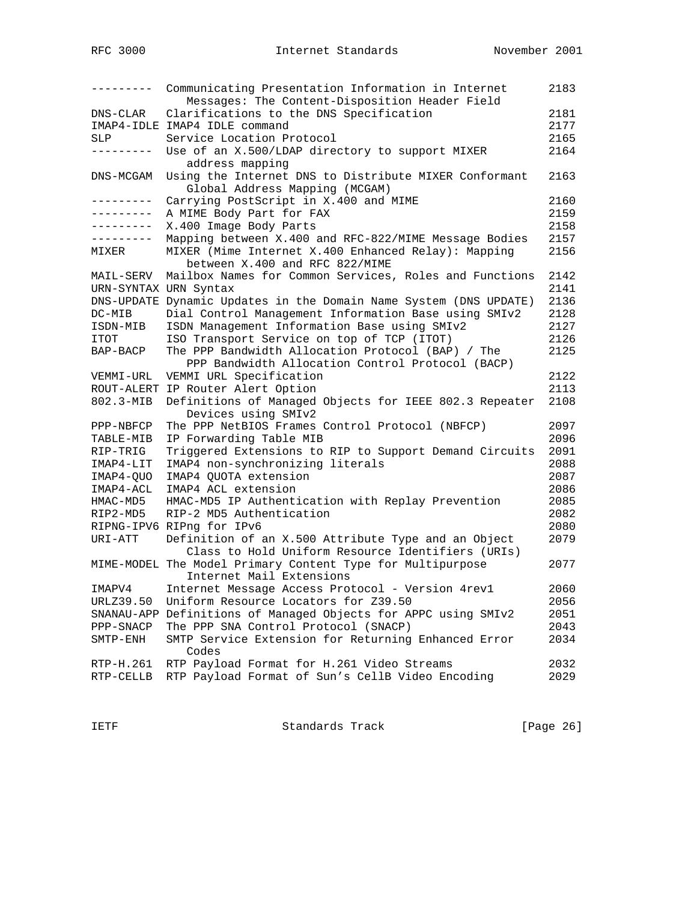| --------- | Communicating Presentation Information in Internet<br>Messages: The Content-Disposition Header Field     | 2183 |
|-----------|----------------------------------------------------------------------------------------------------------|------|
| DNS-CLAR  | Clarifications to the DNS Specification                                                                  | 2181 |
|           | IMAP4-IDLE IMAP4 IDLE command                                                                            | 2177 |
| SLP       | Service Location Protocol                                                                                | 2165 |
| --------- | Use of an X.500/LDAP directory to support MIXER<br>address mapping                                       | 2164 |
| DNS-MCGAM | Using the Internet DNS to Distribute MIXER Conformant<br>Global Address Mapping (MCGAM)                  | 2163 |
| --------- | Carrying PostScript in X.400 and MIME                                                                    | 2160 |
| --------- | A MIME Body Part for FAX                                                                                 | 2159 |
| --------- | X.400 Image Body Parts                                                                                   | 2158 |
| --------- | Mapping between X.400 and RFC-822/MIME Message Bodies                                                    | 2157 |
| MIXER     | MIXER (Mime Internet X.400 Enhanced Relay): Mapping<br>between X.400 and RFC 822/MIME                    | 2156 |
| MAIL-SERV | Mailbox Names for Common Services, Roles and Functions                                                   | 2142 |
|           | URN-SYNTAX URN Syntax                                                                                    | 2141 |
|           | DNS-UPDATE Dynamic Updates in the Domain Name System (DNS UPDATE)                                        | 2136 |
| DC-MIB    | Dial Control Management Information Base using SMIv2                                                     | 2128 |
| ISDN-MIB  | ISDN Management Information Base using SMIv2                                                             | 2127 |
| ITOT      | ISO Transport Service on top of TCP (ITOT)                                                               | 2126 |
| BAP-BACP  | The PPP Bandwidth Allocation Protocol (BAP) / The<br>PPP Bandwidth Allocation Control Protocol (BACP)    | 2125 |
| VEMMI-URL | VEMMI URL Specification                                                                                  | 2122 |
|           | ROUT-ALERT IP Router Alert Option                                                                        | 2113 |
| 802.3-MIB | Definitions of Managed Objects for IEEE 802.3 Repeater                                                   | 2108 |
|           | Devices using SMIv2                                                                                      |      |
| PPP-NBFCP | The PPP NetBIOS Frames Control Protocol (NBFCP)                                                          | 2097 |
| TABLE-MIB | IP Forwarding Table MIB                                                                                  | 2096 |
| RIP-TRIG  | Triggered Extensions to RIP to Support Demand Circuits                                                   | 2091 |
| IMAP4-LIT | IMAP4 non-synchronizing literals                                                                         | 2088 |
| IMAP4-QUO | IMAP4 QUOTA extension                                                                                    | 2087 |
| IMAP4-ACL | IMAP4 ACL extension                                                                                      | 2086 |
| HMAC-MD5  | HMAC-MD5 IP Authentication with Replay Prevention                                                        | 2085 |
| RIP2-MD5  | RIP-2 MD5 Authentication                                                                                 | 2082 |
|           | RIPNG-IPV6 RIPng for IPv6                                                                                | 2080 |
| URI-ATT   | Definition of an X.500 Attribute Type and an Object<br>Class to Hold Uniform Resource Identifiers (URIs) | 2079 |
|           | MIME-MODEL The Model Primary Content Type for Multipurpose<br>Internet Mail Extensions                   | 2077 |
| IMAPV4    | Internet Message Access Protocol - Version 4rev1                                                         | 2060 |
| URLZ39.50 | Uniform Resource Locators for Z39.50                                                                     | 2056 |
|           | SNANAU-APP Definitions of Managed Objects for APPC using SMIv2                                           | 2051 |
| PPP-SNACP | The PPP SNA Control Protocol (SNACP)                                                                     | 2043 |
| SMTP-ENH  | SMTP Service Extension for Returning Enhanced Error<br>Codes                                             | 2034 |
| RTP-H.261 | RTP Payload Format for H.261 Video Streams                                                               | 2032 |
| RTP-CELLB | RTP Payload Format of Sun's CellB Video Encoding                                                         | 2029 |

IETF Standards Track [Page 26]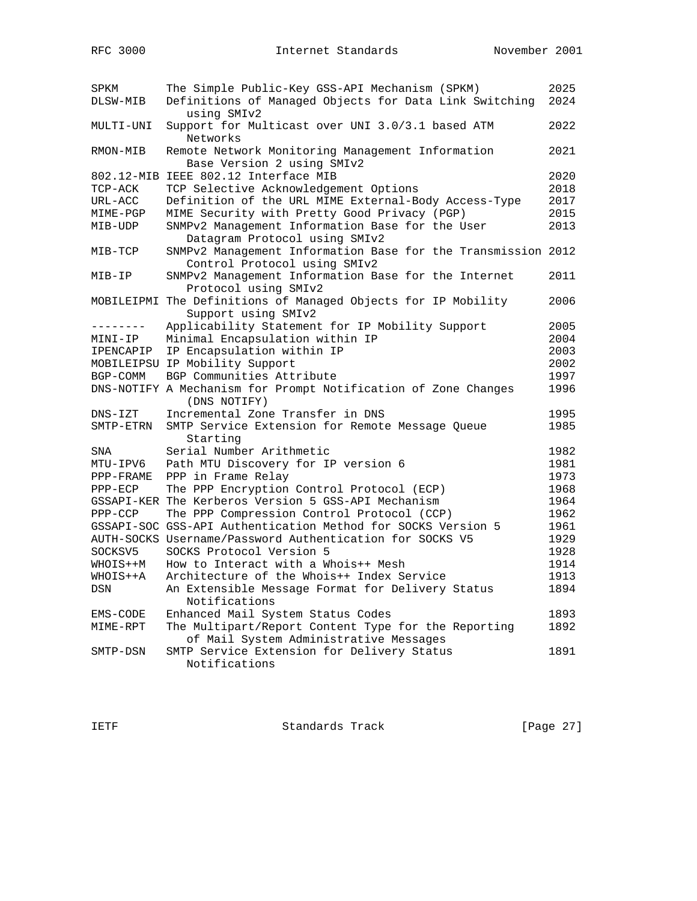| SPKM<br>DLSW-MIB | The Simple Public-Key GSS-API Mechanism (SPKM)<br>Definitions of Managed Objects for Data Link Switching<br>using SMIv2 | 2025<br>2024 |
|------------------|-------------------------------------------------------------------------------------------------------------------------|--------------|
| MULTI-UNI        | Support for Multicast over UNI 3.0/3.1 based ATM<br>Networks                                                            | 2022         |
| RMON-MIB         | Remote Network Monitoring Management Information<br>Base Version 2 using SMIv2                                          | 2021         |
|                  | 802.12-MIB IEEE 802.12 Interface MIB                                                                                    | 2020         |
| TCP-ACK          | TCP Selective Acknowledgement Options                                                                                   | 2018         |
| URL-ACC          | Definition of the URL MIME External-Body Access-Type                                                                    | 2017         |
| MIME-PGP         | MIME Security with Pretty Good Privacy (PGP)                                                                            | 2015         |
| MIB-UDP          | SNMPv2 Management Information Base for the User<br>Datagram Protocol using SMIv2                                        | 2013         |
| $MIB-TCP$        | SNMPv2 Management Information Base for the Transmission 2012<br>Control Protocol using SMIv2                            |              |
| MIB-IP           | SNMPv2 Management Information Base for the Internet<br>Protocol using SMIv2                                             | 2011         |
|                  | MOBILEIPMI The Definitions of Managed Objects for IP Mobility<br>Support using SMIv2                                    | 2006         |
| --------         | Applicability Statement for IP Mobility Support                                                                         | 2005         |
| MINI-IP          | Minimal Encapsulation within IP                                                                                         | 2004         |
| IPENCAPIP        | IP Encapsulation within IP                                                                                              | 2003         |
|                  | MOBILEIPSU IP Mobility Support                                                                                          | 2002         |
| BGP-COMM         | BGP Communities Attribute                                                                                               | 1997         |
|                  | DNS-NOTIFY A Mechanism for Prompt Notification of Zone Changes<br>(DNS NOTIFY)                                          | 1996         |
| $DNS - IZT$      | Incremental Zone Transfer in DNS                                                                                        | 1995         |
| SMTP-ETRN        | SMTP Service Extension for Remote Message Queue<br>Starting                                                             | 1985         |
| SNA              | Serial Number Arithmetic                                                                                                | 1982         |
| MTU-IPV6         | Path MTU Discovery for IP version 6                                                                                     | 1981         |
| PPP-FRAME        | PPP in Frame Relay                                                                                                      | 1973         |
| $PPP-ECP$        | The PPP Encryption Control Protocol (ECP)                                                                               | 1968         |
|                  | GSSAPI-KER The Kerberos Version 5 GSS-API Mechanism                                                                     | 1964         |
| PPP-CCP          | The PPP Compression Control Protocol (CCP)                                                                              | 1962         |
|                  | GSSAPI-SOC GSS-API Authentication Method for SOCKS Version 5                                                            | 1961         |
|                  | AUTH-SOCKS Username/Password Authentication for SOCKS V5                                                                | 1929         |
| SOCKSV5          | SOCKS Protocol Version 5                                                                                                | 1928         |
| WHOIS++M         | How to Interact with a Whois++ Mesh                                                                                     | 1914         |
| WHOIS++A         | Architecture of the Whois++ Index Service                                                                               | 1913         |
| DSN              | An Extensible Message Format for Delivery Status<br>Notifications                                                       | 1894         |
| EMS-CODE         | Enhanced Mail System Status Codes                                                                                       | 1893         |
| MIME-RPT         | The Multipart/Report Content Type for the Reporting                                                                     | 1892         |
|                  | of Mail System Administrative Messages                                                                                  |              |
| SMTP-DSN         | SMTP Service Extension for Delivery Status                                                                              | 1891         |
|                  | Notifications                                                                                                           |              |

IETF Standards Track [Page 27]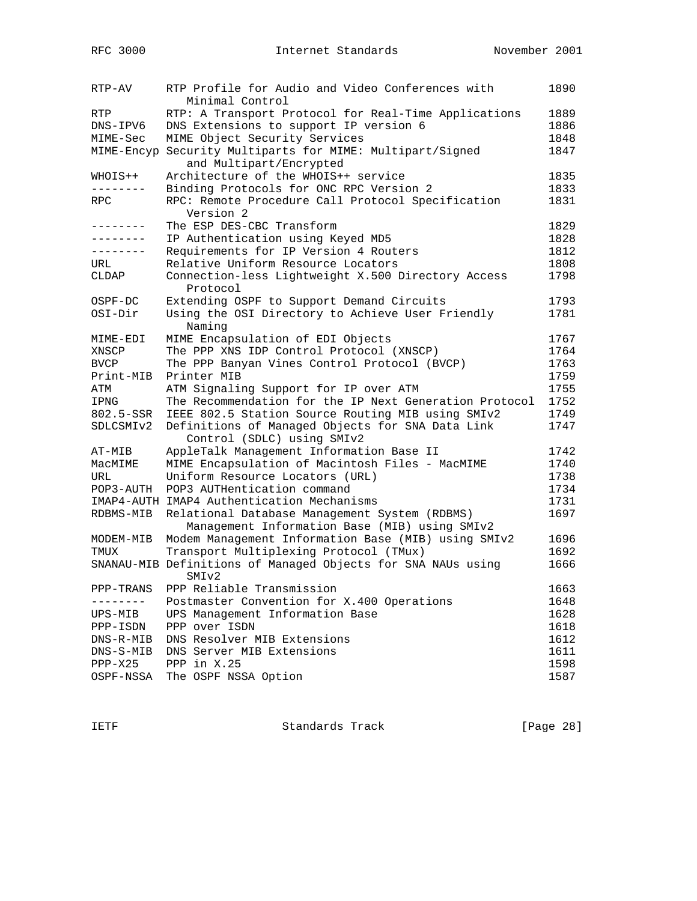| RTP-AV        | RTP Profile for Audio and Video Conferences with<br>Minimal Control | 1890 |
|---------------|---------------------------------------------------------------------|------|
| RTP           | RTP: A Transport Protocol for Real-Time Applications                | 1889 |
| DNS-IPV6      | DNS Extensions to support IP version 6                              | 1886 |
| MIME-Sec      | MIME Object Security Services                                       | 1848 |
| MIME-Encyp    | Security Multiparts for MIME: Multipart/Signed                      | 1847 |
|               | and Multipart/Encrypted                                             |      |
| WHOIS++       | Architecture of the WHOIS++ service                                 | 1835 |
| .             | Binding Protocols for ONC RPC Version 2                             | 1833 |
| RPC           | RPC: Remote Procedure Call Protocol Specification                   | 1831 |
|               | Version 2                                                           |      |
| ---------     | The ESP DES-CBC Transform                                           | 1829 |
| --------      | IP Authentication using Keyed MD5                                   | 1828 |
|               | Requirements for IP Version 4 Routers                               | 1812 |
| URL           | Relative Uniform Resource Locators                                  | 1808 |
| CLDAP         | Connection-less Lightweight X.500 Directory Access                  | 1798 |
|               | Protocol                                                            |      |
| OSPF-DC       | Extending OSPF to Support Demand Circuits                           | 1793 |
| $OSI-Dir$     | Using the OSI Directory to Achieve User Friendly                    | 1781 |
|               | Naming                                                              |      |
| MIME-EDI      | MIME Encapsulation of EDI Objects                                   | 1767 |
| XNSCP         | The PPP XNS IDP Control Protocol (XNSCP)                            | 1764 |
| <b>BVCP</b>   | The PPP Banyan Vines Control Protocol (BVCP)                        | 1763 |
| Print-MIB     | Printer MIB                                                         | 1759 |
| ATM           | ATM Signaling Support for IP over ATM                               | 1755 |
| IPNG          | The Recommendation for the IP Next Generation Protocol              | 1752 |
| 802.5-SSR     | IEEE 802.5 Station Source Routing MIB using SMIv2                   | 1749 |
| SDLCSMIv2     | Definitions of Managed Objects for SNA Data Link                    | 1747 |
|               | Control (SDLC) using SMIv2                                          |      |
| AT-MIB        | AppleTalk Management Information Base II                            | 1742 |
| MacMIME       | MIME Encapsulation of Macintosh Files - MacMIME                     | 1740 |
| URL           | Uniform Resource Locators (URL)                                     | 1738 |
| POP3-AUTH     | POP3 AUTHentication command                                         | 1734 |
|               | IMAP4-AUTH IMAP4 Authentication Mechanisms                          | 1731 |
| RDBMS-MIB     | Relational Database Management System (RDBMS)                       | 1697 |
|               | Management Information Base (MIB) using SMIv2                       |      |
| MODEM-MIB     | Modem Management Information Base (MIB) using SMIv2                 | 1696 |
| TMUX          | Transport Multiplexing Protocol (TMux)                              | 1692 |
|               | SNANAU-MIB Definitions of Managed Objects for SNA NAUs using        | 1666 |
|               | SMI <sub>v2</sub>                                                   |      |
| PPP-TRANS     | PPP Reliable Transmission                                           | 1663 |
| $- - - - - -$ | Postmaster Convention for X.400 Operations                          | 1648 |
| UPS-MIB       | UPS Management Information Base                                     | 1628 |
| PPP-ISDN      | PPP over ISDN                                                       | 1618 |
| DNS-R-MIB     | DNS Resolver MIB Extensions                                         | 1612 |
| DNS-S-MIB     | DNS Server MIB Extensions                                           | 1611 |
| $PPP-X25$     | PPP in X.25                                                         | 1598 |
| OSPF-NSSA     | The OSPF NSSA Option                                                | 1587 |
|               |                                                                     |      |

IETF Standards Track [Page 28]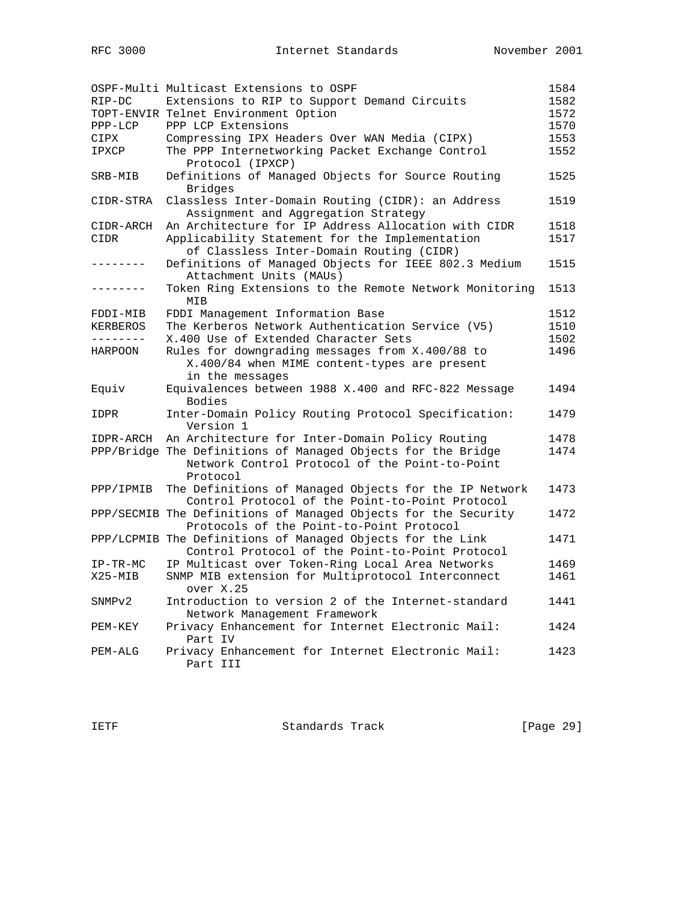|             | OSPF-Multi Multicast Extensions to OSPF                                                                                    | 1584 |
|-------------|----------------------------------------------------------------------------------------------------------------------------|------|
| RIP-DC      | Extensions to RIP to Support Demand Circuits                                                                               | 1582 |
|             | TOPT-ENVIR Telnet Environment Option                                                                                       | 1572 |
| PPP-LCP     | PPP LCP Extensions                                                                                                         | 1570 |
| CIPX        | Compressing IPX Headers Over WAN Media (CIPX)                                                                              | 1553 |
| IPXCP       | The PPP Internetworking Packet Exchange Control                                                                            | 1552 |
|             | Protocol (IPXCP)                                                                                                           |      |
| SRB-MIB     | Definitions of Managed Objects for Source Routing<br><b>Bridges</b>                                                        | 1525 |
| $CIDR-STRA$ | Classless Inter-Domain Routing (CIDR): an Address<br>Assignment and Aggregation Strategy                                   | 1519 |
| CIDR-ARCH   | An Architecture for IP Address Allocation with CIDR                                                                        | 1518 |
| CIDR        | Applicability Statement for the Implementation                                                                             | 1517 |
|             | of Classless Inter-Domain Routing (CIDR)                                                                                   |      |
| -------     | Definitions of Managed Objects for IEEE 802.3 Medium<br>Attachment Units (MAUs)                                            | 1515 |
| -------     | Token Ring Extensions to the Remote Network Monitoring<br>MIB                                                              | 1513 |
| FDDI-MIB    | FDDI Management Information Base                                                                                           | 1512 |
| KERBEROS    | The Kerberos Network Authentication Service (V5)                                                                           | 1510 |
| ---------   | X.400 Use of Extended Character Sets                                                                                       | 1502 |
| HARPOON     | Rules for downgrading messages from X.400/88 to                                                                            | 1496 |
|             | X.400/84 when MIME content-types are present<br>in the messages                                                            |      |
| Equiv       | Equivalences between 1988 X.400 and RFC-822 Message<br>Bodies                                                              | 1494 |
| IDPR        | Inter-Domain Policy Routing Protocol Specification:<br>Version 1                                                           | 1479 |
| IDPR-ARCH   | An Architecture for Inter-Domain Policy Routing                                                                            | 1478 |
|             | PPP/Bridge The Definitions of Managed Objects for the Bridge<br>Network Control Protocol of the Point-to-Point<br>Protocol | 1474 |
| PPP/IPMIB   | The Definitions of Managed Objects for the IP Network<br>Control Protocol of the Point-to-Point Protocol                   | 1473 |
|             | PPP/SECMIB The Definitions of Managed Objects for the Security<br>Protocols of the Point-to-Point Protocol                 | 1472 |
|             | PPP/LCPMIB The Definitions of Managed Objects for the Link<br>Control Protocol of the Point-to-Point Protocol              | 1471 |
| $IP-TR-MC$  | IP Multicast over Token-Ring Local Area Networks                                                                           | 1469 |
| $X25 - MIB$ | SNMP MIB extension for Multiprotocol Interconnect<br>over X.25                                                             | 1461 |
| SNMPv2      | Introduction to version 2 of the Internet-standard<br>Network Management Framework                                         | 1441 |
| PEM-KEY     | Privacy Enhancement for Internet Electronic Mail:<br>Part IV                                                               | 1424 |
| PEM-ALG     | Privacy Enhancement for Internet Electronic Mail:<br>Part III                                                              | 1423 |

IETF Standards Track [Page 29]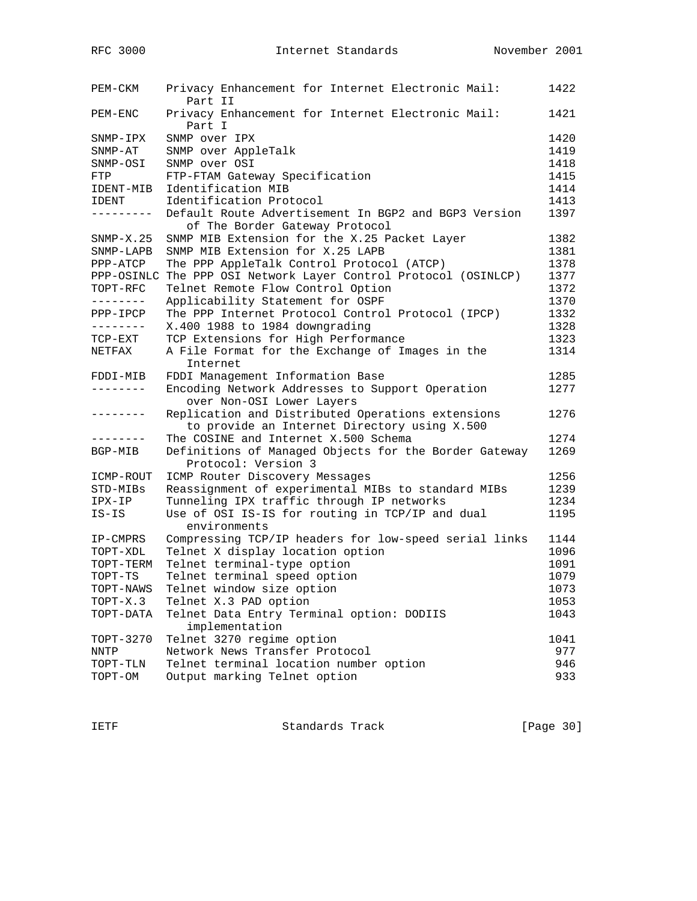| PEM-CKM             | Privacy Enhancement for Internet Electronic Mail:<br>Part II                                      | 1422 |
|---------------------|---------------------------------------------------------------------------------------------------|------|
| PEM-ENC             | Privacy Enhancement for Internet Electronic Mail:<br>Part I                                       | 1421 |
| SNMP-IPX            | SNMP over IPX                                                                                     | 1420 |
| $SNNP-AT$           | SNMP over AppleTalk                                                                               | 1419 |
| SNMP-OSI            | SNMP over OSI                                                                                     | 1418 |
| FTP                 | FTP-FTAM Gateway Specification                                                                    | 1415 |
| IDENT-MIB           | Identification MIB                                                                                | 1414 |
| IDENT               | Identification Protocol                                                                           | 1413 |
| ---------           | Default Route Advertisement In BGP2 and BGP3 Version                                              | 1397 |
|                     | of The Border Gateway Protocol                                                                    |      |
| $SNMP-X.25$         | SNMP MIB Extension for the X.25 Packet Layer                                                      | 1382 |
| $S NMP-LAPB$        | SNMP MIB Extension for X.25 LAPB                                                                  | 1381 |
| PPP-ATCP            | The PPP AppleTalk Control Protocol (ATCP)                                                         | 1378 |
| PPP-OSINLC          | The PPP OSI Network Layer Control Protocol (OSINLCP)                                              | 1377 |
| TOPT-RFC            | Telnet Remote Flow Control Option                                                                 | 1372 |
| --------            | Applicability Statement for OSPF                                                                  | 1370 |
| PPP-IPCP            | The PPP Internet Protocol Control Protocol (IPCP)                                                 | 1332 |
| ---------           | X.400 1988 to 1984 downgrading                                                                    | 1328 |
| $TCP-EXT$           | TCP Extensions for High Performance                                                               | 1323 |
| NETFAX              | A File Format for the Exchange of Images in the<br>Internet                                       | 1314 |
| FDDI-MIB            | FDDI Management Information Base                                                                  | 1285 |
| --------            | Encoding Network Addresses to Support Operation<br>over Non-OSI Lower Layers                      | 1277 |
| $- - - - - - - - -$ | Replication and Distributed Operations extensions<br>to provide an Internet Directory using X.500 | 1276 |
| . <u>.</u> .        | The COSINE and Internet X.500 Schema                                                              | 1274 |
| BGP-MIB             | Definitions of Managed Objects for the Border Gateway<br>Protocol: Version 3                      | 1269 |
| ICMP-ROUT           | ICMP Router Discovery Messages                                                                    | 1256 |
| STD-MIBs            | Reassignment of experimental MIBs to standard MIBs                                                | 1239 |
| IPX-IP              | Tunneling IPX traffic through IP networks                                                         | 1234 |
| IS-IS               | Use of OSI IS-IS for routing in TCP/IP and dual<br>environments                                   | 1195 |
| IP-CMPRS            | Compressing TCP/IP headers for low-speed serial links                                             | 1144 |
| TOPT-XDL            | Telnet X display location option                                                                  | 1096 |
| TOPT-TERM           | Telnet terminal-type option                                                                       | 1091 |
| TOPT-TS             | Telnet terminal speed option                                                                      | 1079 |
| TOPT-NAWS           | Telnet window size option                                                                         | 1073 |
| $TOPT-X.3$          | Telnet X.3 PAD option                                                                             | 1053 |
| TOPT-DATA           | Telnet Data Entry Terminal option: DODIIS<br>implementation                                       | 1043 |
| TOPT-3270           | Telnet 3270 regime option                                                                         | 1041 |
| <b>NNTP</b>         | Network News Transfer Protocol                                                                    | 977  |
| TOPT-TLN            | Telnet terminal location number option                                                            | 946  |
| TOPT-OM             | Output marking Telnet option                                                                      | 933  |

IETF Standards Track [Page 30]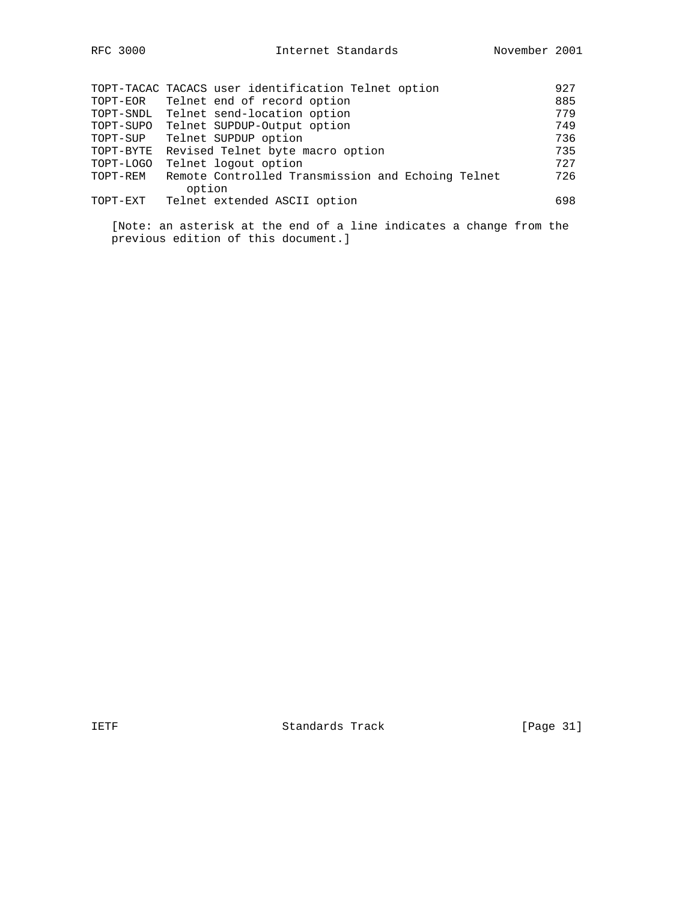|           | TOPT-TACAC TACACS user identification Telnet option | 927 |
|-----------|-----------------------------------------------------|-----|
| TOPT-EOR  | Telnet end of record option                         | 885 |
| TOPT-SNDL | Telnet send-location option                         | 779 |
| TOPT-SUPO | Telnet SUPDUP-Output option                         | 749 |
| TOPT-SUP  | Telnet SUPDUP option                                | 736 |
| TOPT-BYTE | Revised Telnet byte macro option                    | 735 |
| TOPT-LOGO | Telnet logout option                                | 727 |
| TOPT-REM  | Remote Controlled Transmission and Echoing Telnet   | 726 |
|           | option                                              |     |
| TOPT-EXT  | Telnet extended ASCII option                        | 698 |
|           |                                                     |     |

 [Note: an asterisk at the end of a line indicates a change from the previous edition of this document.]

IETF Standards Track [Page 31]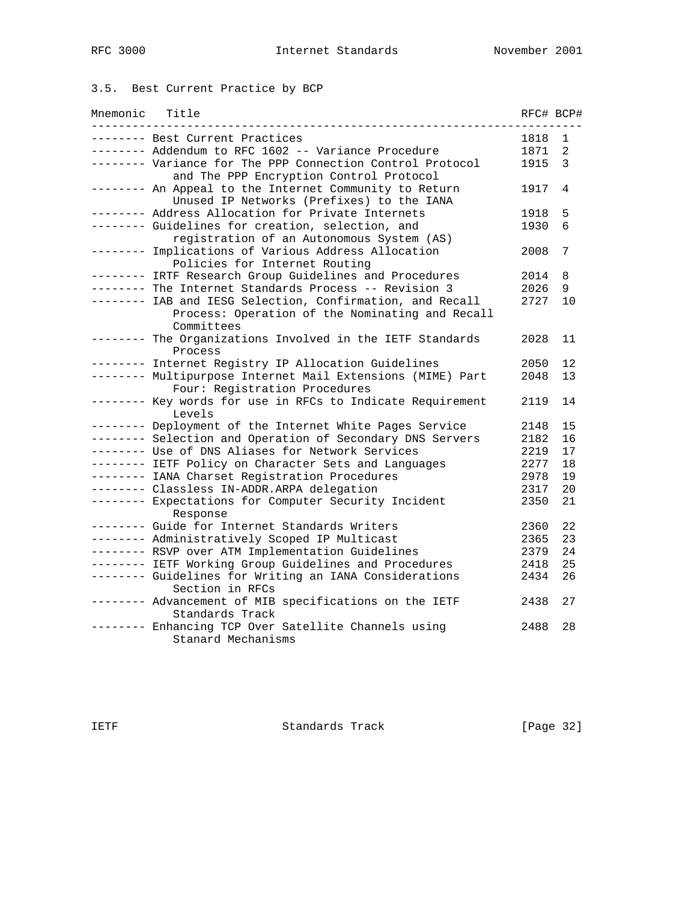# 3.5. Best Current Practice by BCP

| Mnemonic | Title                                                                                                | RFC# BCP# |                   |
|----------|------------------------------------------------------------------------------------------------------|-----------|-------------------|
|          | -------- Best Current Practices                                                                      | 1818      | 1                 |
|          | -------- Addendum to RFC 1602 -- Variance Procedure                                                  | 1871      | 2                 |
|          | -------- Variance for The PPP Connection Control Protocol<br>and The PPP Encryption Control Protocol | 1915      | 3                 |
|          | -------- An Appeal to the Internet Community to Return<br>Unused IP Networks (Prefixes) to the IANA  | 1917      | 4                 |
|          | -------- Address Allocation for Private Internets                                                    | 1918      | 5                 |
|          | -------- Guidelines for creation, selection, and<br>registration of an Autonomous System (AS)        | 1930      | 6                 |
|          | -------- Implications of Various Address Allocation<br>Policies for Internet Routing                 | 2008      | 7                 |
| .        | IRTF Research Group Guidelines and Procedures                                                        | 2014      | 8                 |
|          | ------- The Internet Standards Process -- Revision 3                                                 | 2026      | 9                 |
|          | ------- IAB and IESG Selection, Confirmation, and Recall                                             | 2727      | 10                |
|          | Process: Operation of the Nominating and Recall<br>Committees                                        |           |                   |
|          | ------- The Organizations Involved in the IETF Standards<br>Process                                  | 2028      | 11                |
|          | ------- Internet Registry IP Allocation Guidelines                                                   | 2050      | $12 \overline{ }$ |
|          | -------- Multipurpose Internet Mail Extensions (MIME) Part<br>Four: Registration Procedures          | 2048      | 13                |
|          | ------- Key words for use in RFCs to Indicate Requirement<br>Levels                                  | 2119      | 14                |
|          | -------- Deployment of the Internet White Pages Service                                              | 2148      | 15                |
|          | -------- Selection and Operation of Secondary DNS Servers                                            | 2182      | 16                |
|          | -------- Use of DNS Aliases for Network Services                                                     | 2219      | 17                |
|          | -------- IETF Policy on Character Sets and Languages                                                 | 2277      | 18                |
|          | -------- IANA Charset Registration Procedures                                                        | 2978      | 19                |
|          | -------- Classless IN-ADDR.ARPA delegation                                                           | 2317      | 20                |
|          | -------- Expectations for Computer Security Incident<br>Response                                     | 2350      | 21                |
|          | -------- Guide for Internet Standards Writers                                                        | 2360      | 22                |
|          | -------- Administratively Scoped IP Multicast                                                        | 2365      | 23                |
|          | -------- RSVP over ATM Implementation Guidelines                                                     | 2379      | 24                |
|          | -------- IETF Working Group Guidelines and Procedures                                                | 2418      | 25                |
|          | -------- Guidelines for Writing an IANA Considerations<br>Section in RFCs                            | 2434      | 26                |
|          | -------- Advancement of MIB specifications on the IETF<br>Standards Track                            | 2438      | 27                |
|          | --- Enhancing TCP Over Satellite Channels using<br>Stanard Mechanisms                                | 2488      | 28                |

IETF Standards Track [Page 32]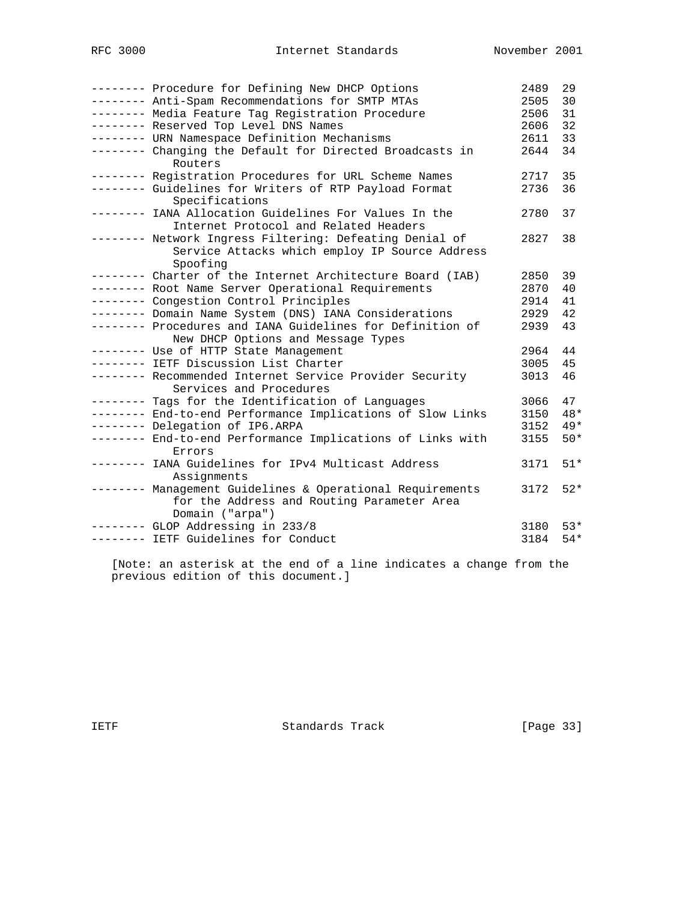| -------- Procedure for Defining New DHCP Options<br>-------- Anti-Spam Recommendations for SMTP MTAs<br>-------- Media Feature Tag Registration Procedure<br>-------- Reserved Top Level DNS Names | 2489<br>2505<br>2506<br>2606 | 29<br>30<br>31<br>32 |
|----------------------------------------------------------------------------------------------------------------------------------------------------------------------------------------------------|------------------------------|----------------------|
| -------- URN Namespace Definition Mechanisms<br>-------- Changing the Default for Directed Broadcasts in<br>Routers                                                                                | 2611<br>2644                 | 33<br>34             |
| -------- Registration Procedures for URL Scheme Names                                                                                                                                              | 2717<br>2736                 | 35<br>36             |
| -------- Guidelines for Writers of RTP Payload Format<br>Specifications                                                                                                                            |                              |                      |
| -------- IANA Allocation Guidelines For Values In the<br>Internet Protocol and Related Headers                                                                                                     | 2780                         | 37                   |
| -------- Network Ingress Filtering: Defeating Denial of<br>Service Attacks which employ IP Source Address<br>Spoofing                                                                              | 2827                         | 38                   |
| -------- Charter of the Internet Architecture Board (IAB)                                                                                                                                          | 2850                         | 39                   |
| -------- Root Name Server Operational Requirements                                                                                                                                                 | 2870                         | 40                   |
| -------- Congestion Control Principles                                                                                                                                                             | 2914                         | 41                   |
| -------- Domain Name System (DNS) IANA Considerations                                                                                                                                              | 2929                         | 42                   |
| -------- Procedures and IANA Guidelines for Definition of<br>New DHCP Options and Message Types                                                                                                    | 2939                         | 43                   |
| -------- Use of HTTP State Management                                                                                                                                                              | 2964                         | 44                   |
| -------- IETF Discussion List Charter                                                                                                                                                              | 3005                         | 45                   |
| -------- Recommended Internet Service Provider Security<br>Services and Procedures                                                                                                                 | 3013                         | 46                   |
| -------- Tags for the Identification of Languages                                                                                                                                                  | 3066                         | 47                   |
| -------- End-to-end Performance Implications of Slow Links                                                                                                                                         | 3150                         | $48*$                |
| -------- Delegation of IP6.ARPA                                                                                                                                                                    | 3152                         | $49*$                |
| -------- End-to-end Performance Implications of Links with<br>Errors                                                                                                                               | 3155                         | $50*$                |
| -------- IANA Guidelines for IPv4 Multicast Address<br>Assignments                                                                                                                                 | 3171                         | $51*$                |
| -------- Management Guidelines & Operational Requirements<br>for the Address and Routing Parameter Area<br>Domain ("arpa")                                                                         | 3172                         | $52*$                |
| ------- GLOP Addressing in 233/8                                                                                                                                                                   | 3180                         | $53*$                |
| -------- IETF Guidelines for Conduct                                                                                                                                                               | 3184                         | $54*$                |

 [Note: an asterisk at the end of a line indicates a change from the previous edition of this document.]

IETF Standards Track [Page 33]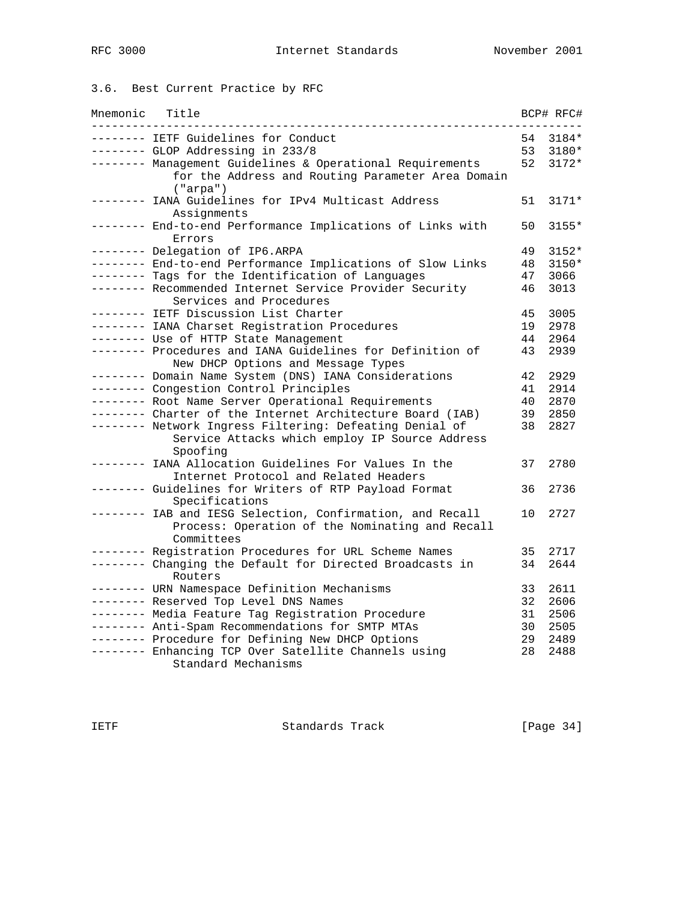# 3.6. Best Current Practice by RFC

| Mnemonic | Title                                                                                                                      |    | BCP# RFC# |
|----------|----------------------------------------------------------------------------------------------------------------------------|----|-----------|
|          | ------- IETF Guidelines for Conduct                                                                                        | 54 | 3184*     |
|          | -------- GLOP Addressing in 233/8                                                                                          | 53 | 3180*     |
|          | -------- Management Guidelines & Operational Requirements<br>for the Address and Routing Parameter Area Domain<br>("arpa") | 52 | $3172*$   |
| -------- | IANA Guidelines for IPv4 Multicast Address<br>Assignments                                                                  | 51 | $3171*$   |
|          | ------- End-to-end Performance Implications of Links with<br>Errors                                                        | 50 | 3155*     |
|          | -------- Delegation of IP6.ARPA                                                                                            | 49 | $3152*$   |
|          | -------- End-to-end Performance Implications of Slow Links                                                                 | 48 | $3150*$   |
|          | -------- Tags for the Identification of Languages                                                                          | 47 | 3066      |
|          | -------- Recommended Internet Service Provider Security<br>Services and Procedures                                         | 46 | 3013      |
|          | -------- IETF Discussion List Charter                                                                                      | 45 | 3005      |
|          | -------- IANA Charset Registration Procedures                                                                              | 19 | 2978      |
|          | -------- Use of HTTP State Management                                                                                      | 44 | 2964      |
|          | -------- Procedures and IANA Guidelines for Definition of<br>New DHCP Options and Message Types                            | 43 | 2939      |
|          | -------- Domain Name System (DNS) IANA Considerations                                                                      | 42 | 2929      |
|          | -------- Congestion Control Principles                                                                                     | 41 | 2914      |
|          | -------- Root Name Server Operational Requirements                                                                         | 40 | 2870      |
|          | -------- Charter of the Internet Architecture Board (IAB)                                                                  | 39 | 2850      |
|          | -------- Network Ingress Filtering: Defeating Denial of<br>Service Attacks which employ IP Source Address<br>Spoofing      | 38 | 2827      |
|          | IANA Allocation Guidelines For Values In the<br>Internet Protocol and Related Headers                                      | 37 | 2780      |
|          | ------- Guidelines for Writers of RTP Payload Format<br>Specifications                                                     | 36 | 2736      |
|          | -------- IAB and IESG Selection, Confirmation, and Recall<br>Process: Operation of the Nominating and Recall<br>Committees | 10 | 2727      |
|          | ------- Registration Procedures for URL Scheme Names                                                                       | 35 | 2717      |
|          | -------- Changing the Default for Directed Broadcasts in<br>Routers                                                        | 34 | 2644      |
|          | -------- URN Namespace Definition Mechanisms                                                                               | 33 | 2611      |
|          | -------- Reserved Top Level DNS Names                                                                                      | 32 | 2606      |
|          | -------- Media Feature Tag Registration Procedure                                                                          | 31 | 2506      |
|          | -------- Anti-Spam Recommendations for SMTP MTAs                                                                           | 30 | 2505      |
|          | -------- Procedure for Defining New DHCP Options                                                                           | 29 | 2489      |
|          | -------- Enhancing TCP Over Satellite Channels using                                                                       | 28 | 2488      |
|          | Standard Mechanisms                                                                                                        |    |           |

IETF Standards Track [Page 34]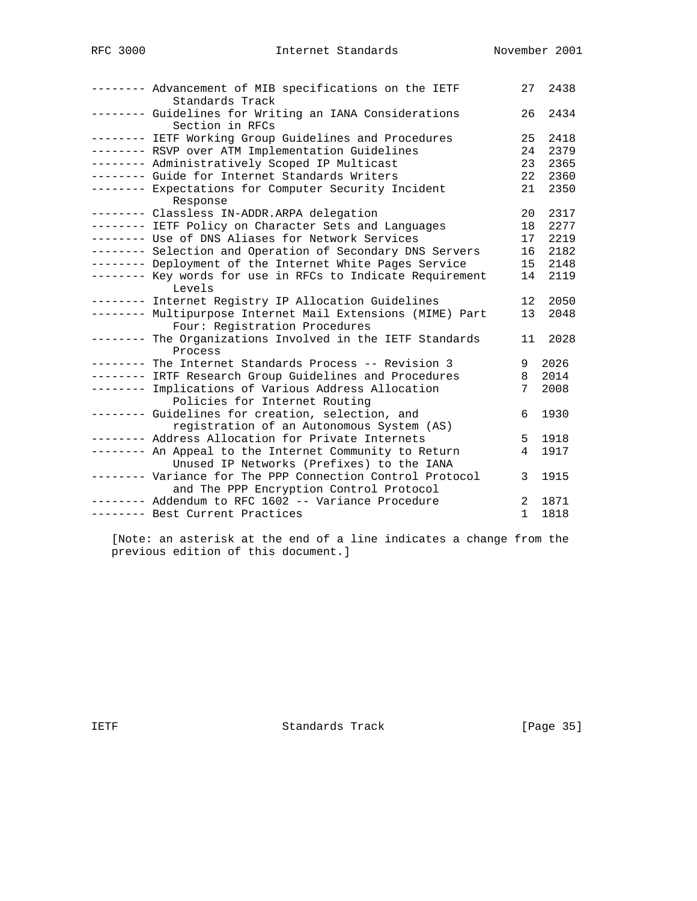|           | -------- Advancement of MIB specifications on the IETF<br>Standards Track                            | 27              | 2438 |
|-----------|------------------------------------------------------------------------------------------------------|-----------------|------|
|           | -------- Guidelines for Writing an IANA Considerations<br>Section in RFCs                            | 26              | 2434 |
|           | -------- IETF Working Group Guidelines and Procedures                                                | 25              | 2418 |
|           | -------- RSVP over ATM Implementation Guidelines                                                     | 24              | 2379 |
|           | -------- Administratively Scoped IP Multicast                                                        | 23              | 2365 |
|           | -------- Guide for Internet Standards Writers                                                        | 22              | 2360 |
|           | -------- Expectations for Computer Security Incident<br>Response                                     | 21              | 2350 |
|           | -------- Classless IN-ADDR.ARPA delegation                                                           | 20              | 2317 |
|           | -------- IETF Policy on Character Sets and Languages                                                 | 18              | 2277 |
|           | -------- Use of DNS Aliases for Network Services                                                     | 17              | 2219 |
|           | -------- Selection and Operation of Secondary DNS Servers                                            | 16              | 2182 |
|           | -------- Deployment of the Internet White Pages Service                                              | 15 <sup>1</sup> | 2148 |
|           | -------- Key words for use in RFCs to Indicate Requirement<br>Levels                                 | 14              | 2119 |
|           | -------- Internet Registry IP Allocation Guidelines                                                  | 12              | 2050 |
|           | -------- Multipurpose Internet Mail Extensions (MIME) Part<br>Four: Registration Procedures          | 13              | 2048 |
| --------- | The Organizations Involved in the IETF Standards<br>Process                                          | 11              | 2028 |
|           | -------- The Internet Standards Process -- Revision 3                                                | 9               | 2026 |
|           | -------- IRTF Research Group Guidelines and Procedures                                               | 8               | 2014 |
|           | -------- Implications of Various Address Allocation<br>Policies for Internet Routing                 | 7               | 2008 |
|           | -------- Guidelines for creation, selection, and<br>registration of an Autonomous System (AS)        | 6               | 1930 |
|           | -------- Address Allocation for Private Internets                                                    | 5               | 1918 |
|           | -------- An Appeal to the Internet Community to Return<br>Unused IP Networks (Prefixes) to the IANA  | 4               | 1917 |
|           | -------- Variance for The PPP Connection Control Protocol<br>and The PPP Encryption Control Protocol | 3               | 1915 |
|           | -------- Addendum to RFC 1602 -- Variance Procedure                                                  | $\overline{2}$  | 1871 |
|           | -------- Best Current Practices                                                                      | 1               | 1818 |

 [Note: an asterisk at the end of a line indicates a change from the previous edition of this document.]

IETF Standards Track [Page 35]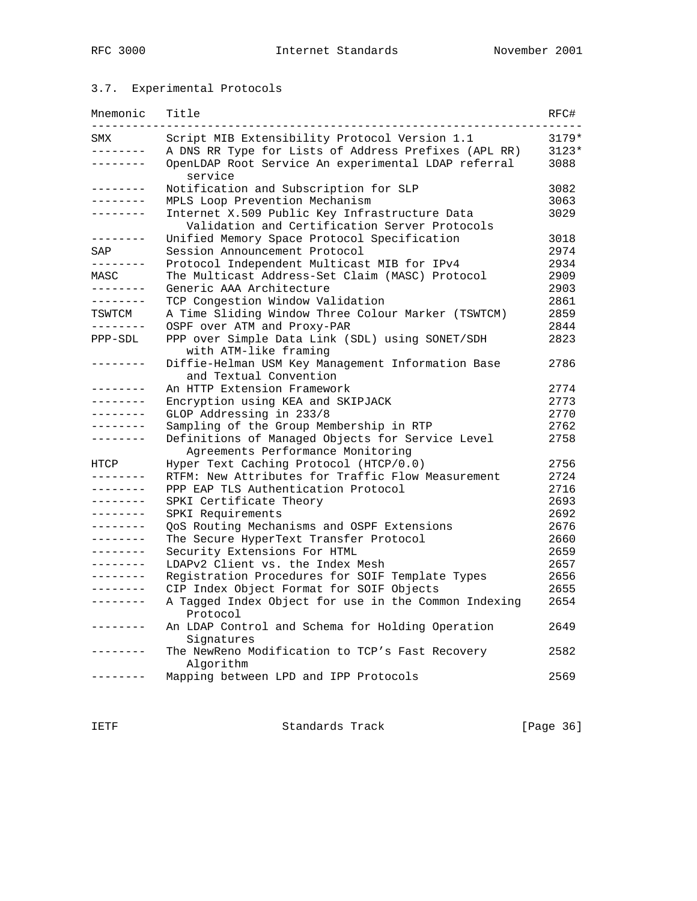### 3.7. Experimental Protocols

| Mnemonic          | Title                                                                                          | RFC#    |
|-------------------|------------------------------------------------------------------------------------------------|---------|
| SMX               | Script MIB Extensibility Protocol Version 1.1                                                  | 3179*   |
| --------          | A DNS RR Type for Lists of Address Prefixes (APL RR)                                           | $3123*$ |
| $- - - - - - - -$ | OpenLDAP Root Service An experimental LDAP referral<br>service                                 | 3088    |
| . <u>.</u> .      | Notification and Subscription for SLP                                                          | 3082    |
|                   | MPLS Loop Prevention Mechanism                                                                 | 3063    |
| . <u>.</u> .      | Internet X.509 Public Key Infrastructure Data<br>Validation and Certification Server Protocols | 3029    |
| --------          | Unified Memory Space Protocol Specification                                                    | 3018    |
| SAP               | Session Announcement Protocol                                                                  | 2974    |
| --------          | Protocol Independent Multicast MIB for IPv4                                                    | 2934    |
| MASC              | The Multicast Address-Set Claim (MASC) Protocol                                                | 2909    |
| --------          | Generic AAA Architecture                                                                       | 2903    |
| . <u>.</u> .      | TCP Congestion Window Validation                                                               | 2861    |
| TSWTCM            | A Time Sliding Window Three Colour Marker (TSWTCM)                                             | 2859    |
| . <u>.</u> .      | OSPF over ATM and Proxy-PAR                                                                    | 2844    |
| PPP-SDL           | PPP over Simple Data Link (SDL) using SONET/SDH<br>with ATM-like framing                       | 2823    |
|                   | Diffie-Helman USM Key Management Information Base<br>and Textual Convention                    | 2786    |
| -------           | An HTTP Extension Framework                                                                    | 2774    |
| . _ _ _ _ _ _ _   | Encryption using KEA and SKIPJACK                                                              | 2773    |
| .                 | GLOP Addressing in 233/8                                                                       | 2770    |
| .                 | Sampling of the Group Membership in RTP                                                        | 2762    |
| . _ _ _ _ _ _ _   | Definitions of Managed Objects for Service Level<br>Agreements Performance Monitoring          | 2758    |
| HTCP              | Hyper Text Caching Protocol (HTCP/0.0)                                                         | 2756    |
|                   | RTFM: New Attributes for Traffic Flow Measurement                                              | 2724    |
| . <u>.</u> .      | PPP EAP TLS Authentication Protocol                                                            | 2716    |
| .                 | SPKI Certificate Theory                                                                        | 2693    |
| .                 | SPKI Requirements                                                                              | 2692    |
| . _ _ _ _ _ _ _   | QoS Routing Mechanisms and OSPF Extensions                                                     | 2676    |
| . _ _ _ _ _ _ _   | The Secure HyperText Transfer Protocol                                                         | 2660    |
| . <u>.</u> .      | Security Extensions For HTML                                                                   | 2659    |
| .                 | LDAPv2 Client vs. the Index Mesh                                                               | 2657    |
| .                 | Registration Procedures for SOIF Template Types                                                | 2656    |
| .                 | CIP Index Object Format for SOIF Objects                                                       | 2655    |
| . <u>.</u>        | A Tagged Index Object for use in the Common Indexing<br>Protocol                               | 2654    |
|                   | An LDAP Control and Schema for Holding Operation<br>Signatures                                 | 2649    |
|                   | The NewReno Modification to TCP's Fast Recovery<br>Algorithm                                   | 2582    |
|                   | Mapping between LPD and IPP Protocols                                                          | 2569    |

IETF Standards Track [Page 36]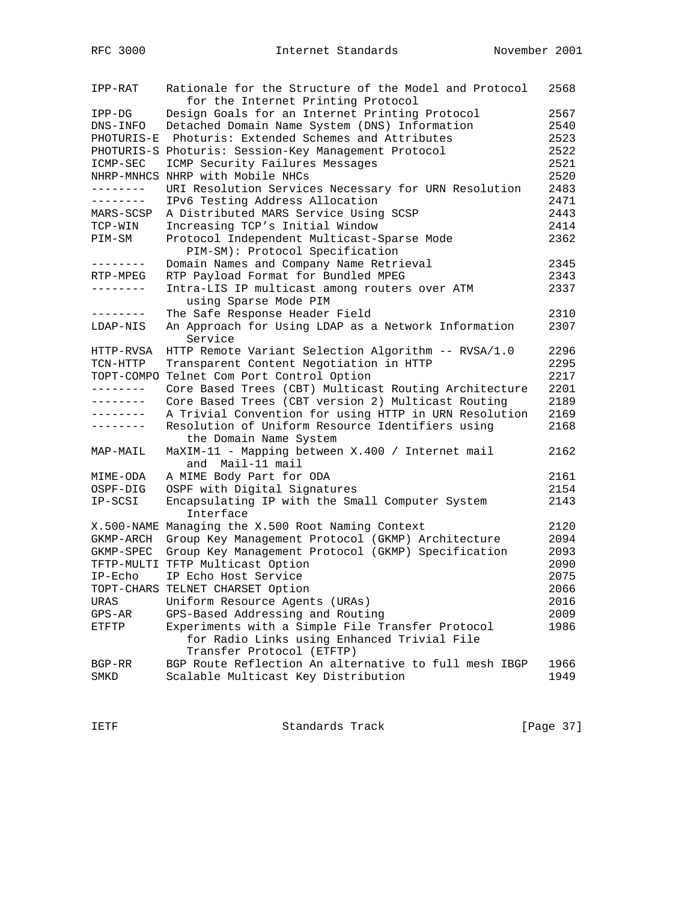| IPP-RAT      | Rationale for the Structure of the Model and Protocol<br>for the Internet Printing Protocol | 2568 |
|--------------|---------------------------------------------------------------------------------------------|------|
| IPP-DG       | Design Goals for an Internet Printing Protocol                                              | 2567 |
| DNS-INFO     | Detached Domain Name System (DNS) Information                                               | 2540 |
| PHOTURIS-E   | Photuris: Extended Schemes and Attributes                                                   | 2523 |
|              | PHOTURIS-S Photuris: Session-Key Management Protocol                                        | 2522 |
| ICMP-SEC     | ICMP Security Failures Messages                                                             | 2521 |
|              | NHRP-MNHCS NHRP with Mobile NHCs                                                            | 2520 |
| --------     | URI Resolution Services Necessary for URN Resolution                                        | 2483 |
| --------     | IPv6 Testing Address Allocation                                                             | 2471 |
| MARS-SCSP    | A Distributed MARS Service Using SCSP                                                       | 2443 |
| TCP-WIN      | Increasing TCP's Initial Window                                                             | 2414 |
| PIM-SM       | Protocol Independent Multicast-Sparse Mode<br>PIM-SM): Protocol Specification               | 2362 |
| --------     | Domain Names and Company Name Retrieval                                                     | 2345 |
| RTP-MPEG     | RTP Payload Format for Bundled MPEG                                                         | 2343 |
| --------     | Intra-LIS IP multicast among routers over ATM                                               | 2337 |
|              | using Sparse Mode PIM                                                                       |      |
| --------     | The Safe Response Header Field                                                              | 2310 |
| LDAP-NIS     | An Approach for Using LDAP as a Network Information                                         | 2307 |
|              | Service                                                                                     |      |
| HTTP-RVSA    | HTTP Remote Variant Selection Algorithm -- RVSA/1.0                                         | 2296 |
| TCN-HTTP     | Transparent Content Negotiation in HTTP                                                     | 2295 |
| TOPT-COMPO   | Telnet Com Port Control Option                                                              | 2217 |
| . <u>.</u> . | Core Based Trees (CBT) Multicast Routing Architecture                                       | 2201 |
|              | Core Based Trees (CBT version 2) Multicast Routing                                          | 2189 |
|              | A Trivial Convention for using HTTP in URN Resolution                                       | 2169 |
| --------     | Resolution of Uniform Resource Identifiers using                                            | 2168 |
|              | the Domain Name System                                                                      |      |
| MAP-MAIL     | MaXIM-11 - Mapping between X.400 / Internet mail<br>and Mail-11 mail                        | 2162 |
| MIME-ODA     | A MIME Body Part for ODA                                                                    | 2161 |
| OSPF-DIG     | OSPF with Digital Signatures                                                                | 2154 |
| IP-SCSI      | Encapsulating IP with the Small Computer System                                             | 2143 |
|              | Interface                                                                                   |      |
|              | X.500-NAME Managing the X.500 Root Naming Context                                           | 2120 |
| GKMP-ARCH    | Group Key Management Protocol (GKMP) Architecture                                           | 2094 |
| GKMP-SPEC    | Group Key Management Protocol (GKMP) Specification                                          | 2093 |
|              | TFTP-MULTI TFTP Multicast Option                                                            | 2090 |
| $IP-ECho$    | IP Echo Host Service                                                                        | 2075 |
|              | TOPT-CHARS TELNET CHARSET Option                                                            | 2066 |
| URAS         | Uniform Resource Agents (URAs)                                                              | 2016 |
| $GPS-AR$     | GPS-Based Addressing and Routing                                                            | 2009 |
| <b>ETFTP</b> | Experiments with a Simple File Transfer Protocol                                            | 1986 |
|              | for Radio Links using Enhanced Trivial File                                                 |      |
|              | Transfer Protocol (ETFTP)                                                                   |      |
| BGP-RR       | BGP Route Reflection An alternative to full mesh IBGP                                       | 1966 |
| SMKD         | Scalable Multicast Key Distribution                                                         | 1949 |

IETF Standards Track [Page 37]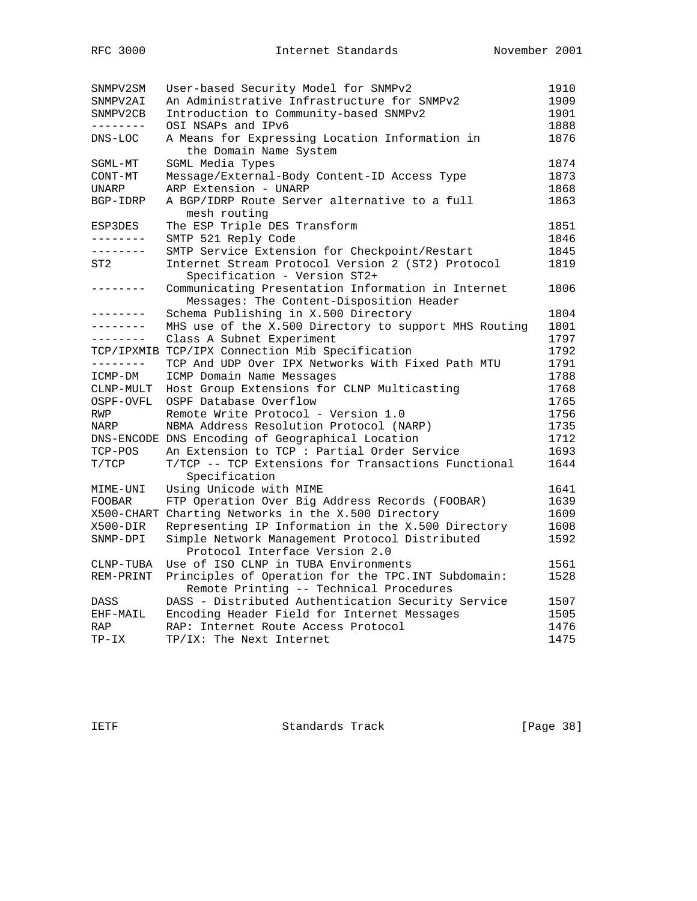| SNMPV2SM   | User-based Security Model for SNMPv2                  | 1910 |
|------------|-------------------------------------------------------|------|
| SNMPV2AI   | An Administrative Infrastructure for SNMPv2           | 1909 |
| SNMPV2CB   | Introduction to Community-based SNMPv2                | 1901 |
| --------   | OSI NSAPs and IPv6                                    | 1888 |
| DNS-LOC    | A Means for Expressing Location Information in        | 1876 |
|            | the Domain Name System                                |      |
| SGML-MT    | SGML Media Types                                      | 1874 |
| CONT-MT    | Message/External-Body Content-ID Access Type          | 1873 |
| UNARP      | ARP Extension - UNARP                                 | 1868 |
| BGP-IDRP   | A BGP/IDRP Route Server alternative to a full         | 1863 |
|            | mesh routing                                          |      |
| ESP3DES    | The ESP Triple DES Transform                          | 1851 |
| --------   | SMTP 521 Reply Code                                   | 1846 |
| --------   | SMTP Service Extension for Checkpoint/Restart         | 1845 |
| ST2        | Internet Stream Protocol Version 2 (ST2) Protocol     | 1819 |
|            | Specification - Version ST2+                          |      |
| --------   | Communicating Presentation Information in Internet    | 1806 |
|            | Messages: The Content-Disposition Header              |      |
| --------   | Schema Publishing in X.500 Directory                  | 1804 |
| --------   | MHS use of the X.500 Directory to support MHS Routing | 1801 |
| --------   | Class A Subnet Experiment                             | 1797 |
| TCP/IPXMIB | TCP/IPX Connection Mib Specification                  | 1792 |
| --------   | TCP And UDP Over IPX Networks With Fixed Path MTU     | 1791 |
| ICMP-DM    | ICMP Domain Name Messages                             | 1788 |
| CLNP-MULT  | Host Group Extensions for CLNP Multicasting           | 1768 |
| OSPF-OVFL  | OSPF Database Overflow                                | 1765 |
| RWP        | Remote Write Protocol - Version 1.0                   | 1756 |
| NARP       | NBMA Address Resolution Protocol (NARP)               | 1735 |
|            | DNS-ENCODE DNS Encoding of Geographical Location      | 1712 |
| TCP-POS    | An Extension to TCP : Partial Order Service           | 1693 |
| T/TCP      | T/TCP -- TCP Extensions for Transactions Functional   | 1644 |
|            | Specification                                         |      |
| MIME-UNI   | Using Unicode with MIME                               | 1641 |
| FOOBAR     | FTP Operation Over Big Address Records (FOOBAR)       | 1639 |
|            | X500-CHART Charting Networks in the X.500 Directory   | 1609 |
| X500-DIR   | Representing IP Information in the X.500 Directory    | 1608 |
| SNMP-DPI   | Simple Network Management Protocol Distributed        | 1592 |
|            | Protocol Interface Version 2.0                        |      |
| CLNP-TUBA  | Use of ISO CLNP in TUBA Environments                  | 1561 |
| REM-PRINT  | Principles of Operation for the TPC. INT Subdomain:   | 1528 |
|            | Remote Printing -- Technical Procedures               |      |
| DASS       | DASS - Distributed Authentication Security Service    | 1507 |
| EHF-MAIL   | Encoding Header Field for Internet Messages           | 1505 |
| RAP        | RAP: Internet Route Access Protocol                   | 1476 |
| TP-IX      | TP/IX: The Next Internet                              | 1475 |

IETF Standards Track [Page 38]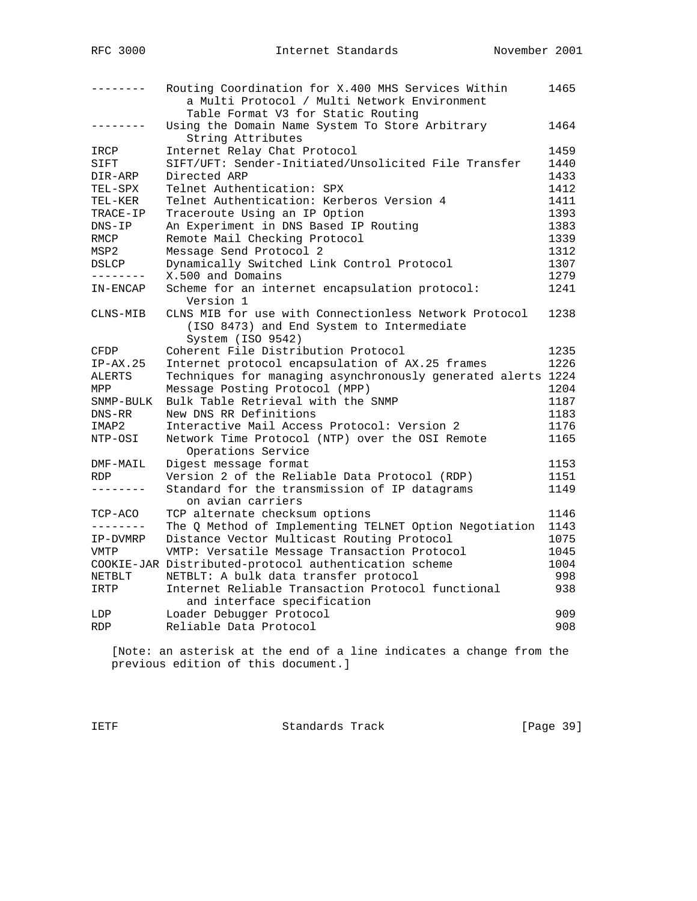| --------   | Routing Coordination for X.400 MHS Services Within<br>a Multi Protocol / Multi Network Environment                      | 1465 |
|------------|-------------------------------------------------------------------------------------------------------------------------|------|
|            | Table Format V3 for Static Routing                                                                                      |      |
| .          | Using the Domain Name System To Store Arbitrary<br>String Attributes                                                    | 1464 |
| IRCP       | Internet Relay Chat Protocol                                                                                            | 1459 |
| SIFT       | SIFT/UFT: Sender-Initiated/Unsolicited File Transfer                                                                    | 1440 |
| DIR-ARP    | Directed ARP                                                                                                            | 1433 |
| TEL-SPX    | Telnet Authentication: SPX                                                                                              | 1412 |
| TEL-KER    | Telnet Authentication: Kerberos Version 4                                                                               | 1411 |
| TRACE-IP   | Traceroute Using an IP Option                                                                                           | 1393 |
| $DNS-IP$   | An Experiment in DNS Based IP Routing                                                                                   | 1383 |
| RMCP       | Remote Mail Checking Protocol                                                                                           | 1339 |
| MSP2       | Message Send Protocol 2                                                                                                 | 1312 |
| DSLCP      | Dynamically Switched Link Control Protocol                                                                              | 1307 |
| --------   | X.500 and Domains                                                                                                       | 1279 |
| IN-ENCAP   | Scheme for an internet encapsulation protocol:<br>Version 1                                                             | 1241 |
| CLNS-MIB   | CLNS MIB for use with Connectionless Network Protocol<br>(ISO 8473) and End System to Intermediate<br>System (ISO 9542) | 1238 |
| CFDP       | Coherent File Distribution Protocol                                                                                     | 1235 |
| $IP-AX.25$ | Internet protocol encapsulation of AX.25 frames                                                                         | 1226 |
| ALERTS     | Techniques for managing asynchronously generated alerts 1224                                                            |      |
| MPP        | Message Posting Protocol (MPP)                                                                                          | 1204 |
| SNMP-BULK  | Bulk Table Retrieval with the SNMP                                                                                      | 1187 |
| DNS-RR     | New DNS RR Definitions                                                                                                  | 1183 |
| IMAP2      | Interactive Mail Access Protocol: Version 2                                                                             | 1176 |
| NTP-OSI    | Network Time Protocol (NTP) over the OSI Remote<br>Operations Service                                                   | 1165 |
| DMF-MAIL   | Digest message format                                                                                                   | 1153 |
| <b>RDP</b> | Version 2 of the Reliable Data Protocol (RDP)                                                                           | 1151 |
| --------   | Standard for the transmission of IP datagrams<br>on avian carriers                                                      | 1149 |
| TCP-ACO    | TCP alternate checksum options                                                                                          | 1146 |
| --------   | The Q Method of Implementing TELNET Option Negotiation                                                                  | 1143 |
| IP-DVMRP   | Distance Vector Multicast Routing Protocol                                                                              | 1075 |
| VMTP       | VMTP: Versatile Message Transaction Protocol                                                                            | 1045 |
|            | COOKIE-JAR Distributed-protocol authentication scheme                                                                   | 1004 |
| NETBLT     | NETBLT: A bulk data transfer protocol                                                                                   | 998  |
| IRTP       | Internet Reliable Transaction Protocol functional<br>and interface specification                                        | 938  |
| LDP        | Loader Debugger Protocol                                                                                                | 909  |
| RDP        | Reliable Data Protocol                                                                                                  | 908  |
|            |                                                                                                                         |      |

 [Note: an asterisk at the end of a line indicates a change from the previous edition of this document.]

IETF Standards Track [Page 39]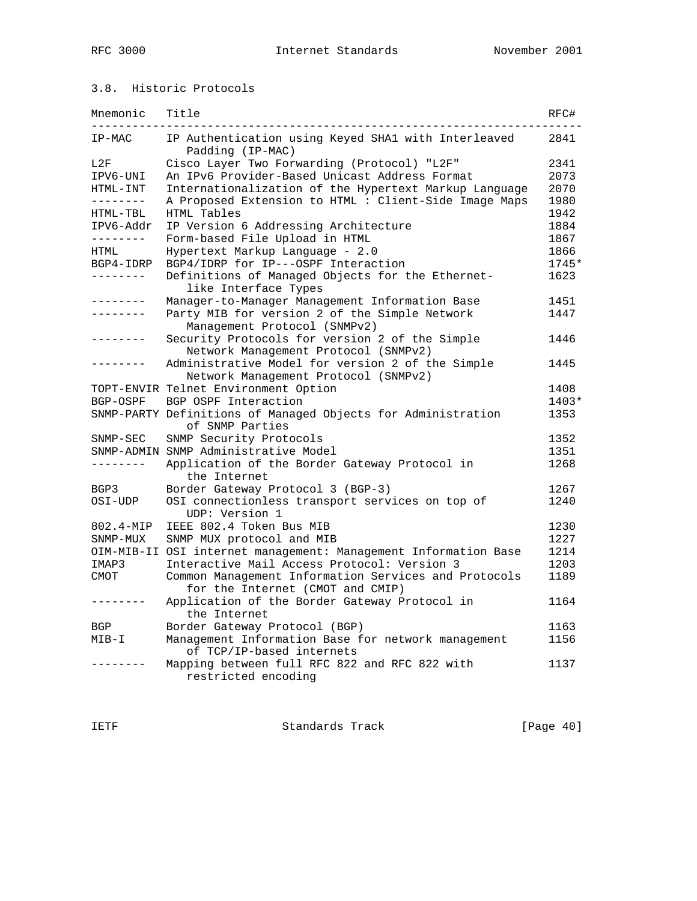### 3.8. Historic Protocols

| Mnemonic        | Title                                                                                    | RFC#  |
|-----------------|------------------------------------------------------------------------------------------|-------|
| IP-MAC          | IP Authentication using Keyed SHA1 with Interleaved<br>Padding (IP-MAC)                  | 2841  |
| L2F             | Cisco Layer Two Forwarding (Protocol) "L2F"                                              | 2341  |
| IPV6-UNI        | An IPv6 Provider-Based Unicast Address Format                                            | 2073  |
| HTML-INT        | Internationalization of the Hypertext Markup Language                                    | 2070  |
| --------        | A Proposed Extension to HTML : Client-Side Image Maps                                    | 1980  |
| HTML-TBL        | HTML Tables                                                                              | 1942  |
| IPV6-Addr       | IP Version 6 Addressing Architecture                                                     | 1884  |
| --------        | Form-based File Upload in HTML                                                           | 1867  |
| HTML            | Hypertext Markup Language - 2.0                                                          | 1866  |
| BGP4-IDRP       | BGP4/IDRP for IP---OSPF Interaction                                                      | 1745* |
| --------        | Definitions of Managed Objects for the Ethernet-<br>like Interface Types                 | 1623  |
| . <u>.</u> .    | Manager-to-Manager Management Information Base                                           | 1451  |
| --------        | Party MIB for version 2 of the Simple Network                                            | 1447  |
|                 | Management Protocol (SNMPv2)                                                             |       |
| -------         | Security Protocols for version 2 of the Simple                                           | 1446  |
|                 | Network Management Protocol (SNMPv2)                                                     |       |
| . _ _ _ _ _ _ _ | Administrative Model for version 2 of the Simple                                         | 1445  |
|                 | Network Management Protocol (SNMPv2)                                                     |       |
|                 | TOPT-ENVIR Telnet Environment Option                                                     | 1408  |
| BGP-OSPF        | BGP OSPF Interaction                                                                     | 1403* |
|                 | SNMP-PARTY Definitions of Managed Objects for Administration<br>of SNMP Parties          | 1353  |
| $SNMP-SEC$      | SNMP Security Protocols                                                                  | 1352  |
|                 | SNMP-ADMIN SNMP Administrative Model                                                     | 1351  |
| --------        | Application of the Border Gateway Protocol in<br>the Internet                            | 1268  |
| BGP3            | Border Gateway Protocol 3 (BGP-3)                                                        | 1267  |
| OSI-UDP         | OSI connectionless transport services on top of<br>UDP: Version 1                        | 1240  |
| 802.4-MIP       | IEEE 802.4 Token Bus MIB                                                                 | 1230  |
| SNMP-MUX        | SNMP MUX protocol and MIB                                                                | 1227  |
|                 | OIM-MIB-II OSI internet management: Management Information Base                          | 1214  |
| IMAP3           | Interactive Mail Access Protocol: Version 3                                              | 1203  |
| <b>CMOT</b>     | Common Management Information Services and Protocols<br>for the Internet (CMOT and CMIP) | 1189  |
| - - - - - - - - | Application of the Border Gateway Protocol in<br>the Internet                            | 1164  |
| BGP             | Border Gateway Protocol (BGP)                                                            | 1163  |
| $MIB-I$         | Management Information Base for network management                                       | 1156  |
|                 | of TCP/IP-based internets                                                                |       |
|                 | Mapping between full RFC 822 and RFC 822 with<br>restricted encoding                     | 1137  |

IETF Standards Track [Page 40]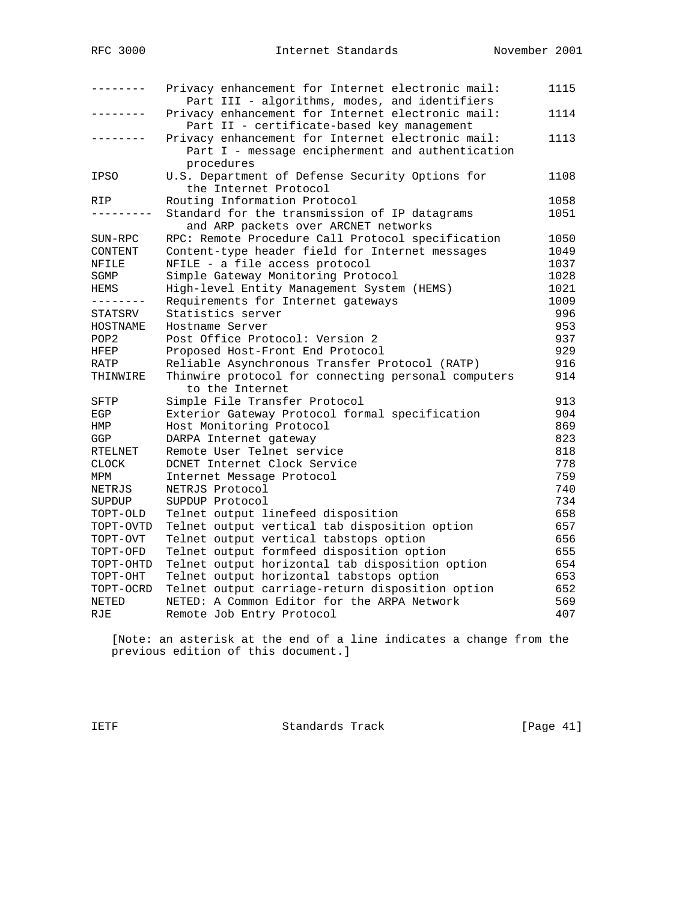| -------          | Privacy enhancement for Internet electronic mail:<br>Part III - algorithms, modes, and identifiers                  | 1115 |
|------------------|---------------------------------------------------------------------------------------------------------------------|------|
|                  | Privacy enhancement for Internet electronic mail:<br>Part II - certificate-based key management                     | 1114 |
|                  | Privacy enhancement for Internet electronic mail:<br>Part I - message encipherment and authentication<br>procedures | 1113 |
| IPSO             | U.S. Department of Defense Security Options for<br>the Internet Protocol                                            | 1108 |
| RIP              | Routing Information Protocol                                                                                        | 1058 |
|                  | Standard for the transmission of IP datagrams                                                                       | 1051 |
|                  | and ARP packets over ARCNET networks                                                                                |      |
| SUN-RPC          | RPC: Remote Procedure Call Protocol specification                                                                   | 1050 |
| CONTENT          | Content-type header field for Internet messages                                                                     | 1049 |
| NFILE            | NFILE - a file access protocol                                                                                      | 1037 |
| SGMP             | Simple Gateway Monitoring Protocol                                                                                  | 1028 |
| HEMS             | High-level Entity Management System (HEMS)                                                                          | 1021 |
| - - - - - - - -  | Requirements for Internet gateways                                                                                  | 1009 |
| STATSRV          | Statistics server                                                                                                   | 996  |
| HOSTNAME         | Hostname Server                                                                                                     | 953  |
| POP <sub>2</sub> | Post Office Protocol: Version 2                                                                                     | 937  |
| HFEP             | Proposed Host-Front End Protocol                                                                                    | 929  |
| RATP             | Reliable Asynchronous Transfer Protocol (RATP)                                                                      | 916  |
| THINWIRE         | Thinwire protocol for connecting personal computers<br>to the Internet                                              | 914  |
| SFTP             | Simple File Transfer Protocol                                                                                       | 913  |
| EGP              | Exterior Gateway Protocol formal specification                                                                      | 904  |
| HMP              | Host Monitoring Protocol                                                                                            | 869  |
| GGP              | DARPA Internet gateway                                                                                              | 823  |
| RTELNET          | Remote User Telnet service                                                                                          | 818  |
| <b>CLOCK</b>     | DCNET Internet Clock Service                                                                                        | 778  |
| MPM              | Internet Message Protocol                                                                                           | 759  |
| NETRJS           | NETRJS Protocol                                                                                                     | 740  |
| SUPDUP           | SUPDUP Protocol                                                                                                     | 734  |
| TOPT-OLD         | Telnet output linefeed disposition                                                                                  | 658  |
| TOPT-OVTD        | Telnet output vertical tab disposition option                                                                       | 657  |
| TOPT-OVT         | Telnet output vertical tabstops option                                                                              | 656  |
| TOPT-OFD         | Telnet output formfeed disposition option                                                                           | 655  |
| TOPT-OHTD        | Telnet output horizontal tab disposition option                                                                     | 654  |
| TOPT-OHT         | Telnet output horizontal tabstops option                                                                            | 653  |
| TOPT-OCRD        | Telnet output carriage-return disposition option                                                                    | 652  |
| NETED            | NETED: A Common Editor for the ARPA Network                                                                         | 569  |
| RJE              | Remote Job Entry Protocol                                                                                           | 407  |

 [Note: an asterisk at the end of a line indicates a change from the previous edition of this document.]

IETF Standards Track [Page 41]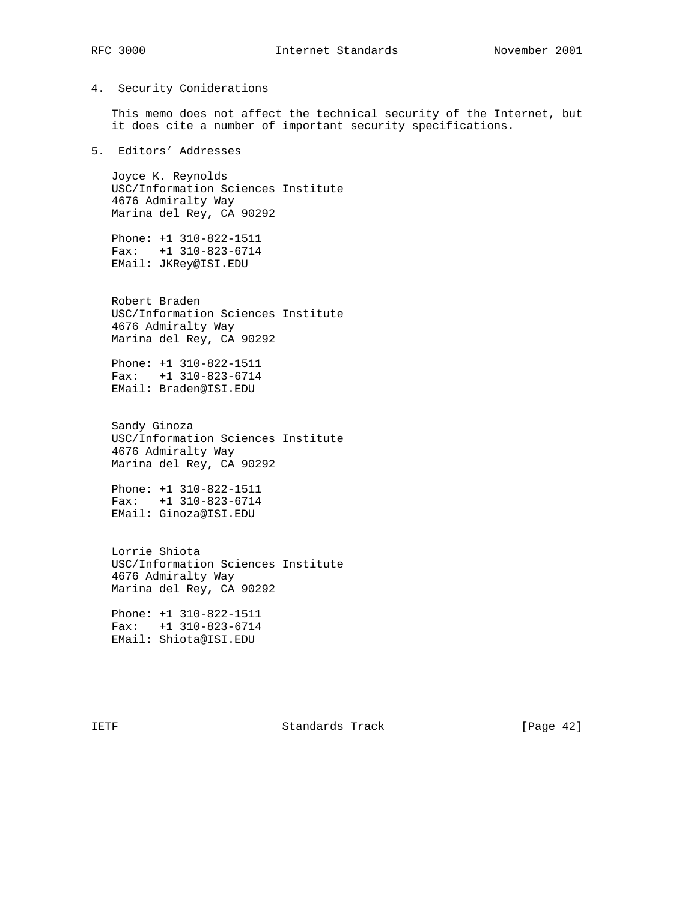#### 4. Security Coniderations

 This memo does not affect the technical security of the Internet, but it does cite a number of important security specifications.

5. Editors' Addresses

 Joyce K. Reynolds USC/Information Sciences Institute 4676 Admiralty Way Marina del Rey, CA 90292

 Phone: +1 310-822-1511 Fax: +1 310-823-6714 EMail: JKRey@ISI.EDU

 Robert Braden USC/Information Sciences Institute 4676 Admiralty Way Marina del Rey, CA 90292

 Phone: +1 310-822-1511 Fax: +1 310-823-6714 EMail: Braden@ISI.EDU

 Sandy Ginoza USC/Information Sciences Institute 4676 Admiralty Way Marina del Rey, CA 90292

 Phone: +1 310-822-1511 Fax: +1 310-823-6714 EMail: Ginoza@ISI.EDU

 Lorrie Shiota USC/Information Sciences Institute 4676 Admiralty Way Marina del Rey, CA 90292

 Phone: +1 310-822-1511 Fax: +1 310-823-6714 EMail: Shiota@ISI.EDU

IETF Standards Track [Page 42]